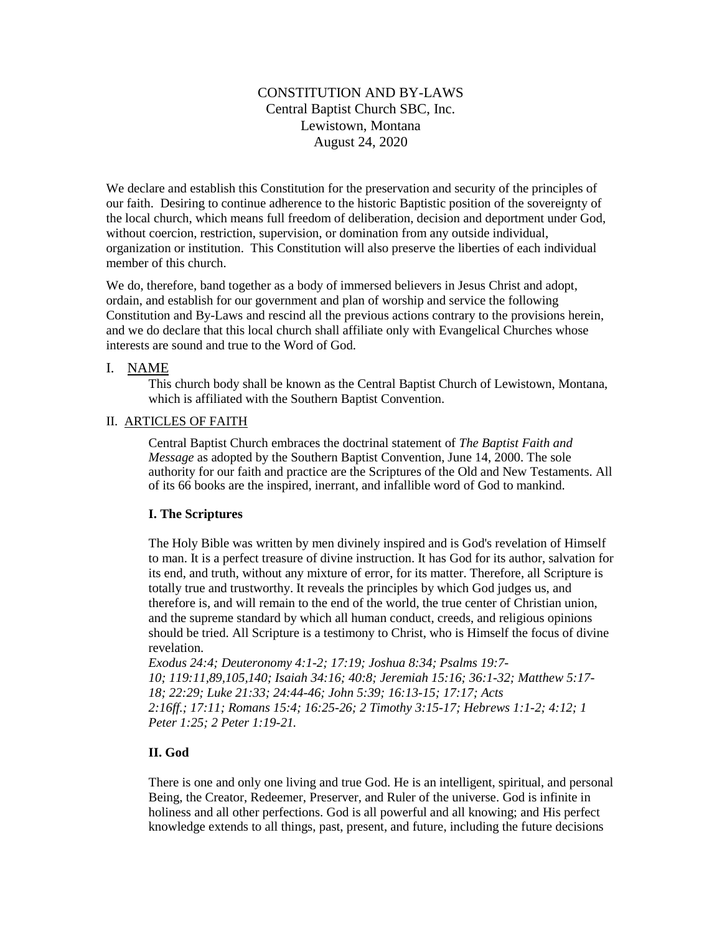# CONSTITUTION AND BY-LAWS Central Baptist Church SBC, Inc. Lewistown, Montana August 24, 2020

We declare and establish this Constitution for the preservation and security of the principles of our faith. Desiring to continue adherence to the historic Baptistic position of the sovereignty of the local church, which means full freedom of deliberation, decision and deportment under God, without coercion, restriction, supervision, or domination from any outside individual, organization or institution. This Constitution will also preserve the liberties of each individual member of this church.

We do, therefore, band together as a body of immersed believers in Jesus Christ and adopt, ordain, and establish for our government and plan of worship and service the following Constitution and By-Laws and rescind all the previous actions contrary to the provisions herein, and we do declare that this local church shall affiliate only with Evangelical Churches whose interests are sound and true to the Word of God.

# I. NAME

This church body shall be known as the Central Baptist Church of Lewistown, Montana, which is affiliated with the Southern Baptist Convention.

# II.ARTICLES OF FAITH

Central Baptist Church embraces the doctrinal statement of *The Baptist Faith and Message* as adopted by the Southern Baptist Convention, June 14, 2000. The sole authority for our faith and practice are the Scriptures of the Old and New Testaments. All of its 66 books are the inspired, inerrant, and infallible word of God to mankind.

# **I. The Scriptures**

The Holy Bible was written by men divinely inspired and is God's revelation of Himself to man. It is a perfect treasure of divine instruction. It has God for its author, salvation for its end, and truth, without any mixture of error, for its matter. Therefore, all Scripture is totally true and trustworthy. It reveals the principles by which God judges us, and therefore is, and will remain to the end of the world, the true center of Christian union, and the supreme standard by which all human conduct, creeds, and religious opinions should be tried. All Scripture is a testimony to Christ, who is Himself the focus of divine revelation.

*[Exodus 24:4;](http://biblia.com/bible/hcsb/Exodus%2024.4) [Deuteronomy 4:1-2;](http://biblia.com/bible/hcsb/Deuteronomy%204.1-2) [17:19;](http://biblia.com/bible/hcsb/Deuteronomy%2017.19) [Joshua 8:34;](http://biblia.com/bible/hcsb/Joshua%208.34) [Psalms 19:7-](http://biblia.com/bible/hcsb/Psalms%2019.7-10) [10;](http://biblia.com/bible/hcsb/Psalms%2019.7-10) [119:11](http://biblia.com/bible/hcsb/Psalms%20119.11)[,89,](http://biblia.com/bible/hcsb/Psalms%20119.89)[105](http://biblia.com/bible/hcsb/Psalms%20119.105)[,140;](http://biblia.com/bible/hcsb/Psalms%20119.140) [Isaiah 34:16;](http://biblia.com/bible/hcsb/Isaiah%2034.16) [40:8;](http://biblia.com/bible/hcsb/Isaiah%2040.8) [Jeremiah 15:16;](http://biblia.com/bible/hcsb/Jeremiah%2015.16) [36:1-32;](http://biblia.com/bible/hcsb/Jeremiah%2036.1-32) [Matthew 5:17-](http://biblia.com/bible/hcsb/Matthew%205.17-18) [18;](http://biblia.com/bible/hcsb/Matthew%205.17-18) [22:29;](http://biblia.com/bible/hcsb/Matthew%2022.29) [Luke 21:33;](http://biblia.com/bible/hcsb/Luke%2021.33) [24:44-46;](http://biblia.com/bible/hcsb/Luke%2024.44-46) [John 5:39;](http://biblia.com/bible/hcsb/John%205.39) [16:13-15;](http://biblia.com/bible/hcsb/John%2016.13-15) [17:17;](http://biblia.com/bible/hcsb/John%2017.17) [Acts](http://biblia.com/bible/hcsb/Acts%202.16ff)  [2:16ff.](http://biblia.com/bible/hcsb/Acts%202.16ff); [17:11;](http://biblia.com/bible/hcsb/Acts%2017.11) [Romans 15:4;](http://biblia.com/bible/hcsb/Romans%2015.4) [16:25-26;](http://biblia.com/bible/hcsb/Romans%2016.25-26) [2 Timothy 3:15-17;](http://biblia.com/bible/hcsb/2%20Timothy%203.15-17) [Hebrews 1:1-2;](http://biblia.com/bible/hcsb/Hebrews%201.1-2) [4:12;](http://biblia.com/bible/hcsb/Hebrews%204.12) [1](http://biblia.com/bible/hcsb/1%20Peter%201.25)  [Peter 1:25;](http://biblia.com/bible/hcsb/1%20Peter%201.25) [2 Peter 1:19-21.](http://biblia.com/bible/hcsb/2%20Peter%201.19-21)*

# **II. God**

There is one and only one living and true God. He is an intelligent, spiritual, and personal Being, the Creator, Redeemer, Preserver, and Ruler of the universe. God is infinite in holiness and all other perfections. God is all powerful and all knowing; and His perfect knowledge extends to all things, past, present, and future, including the future decisions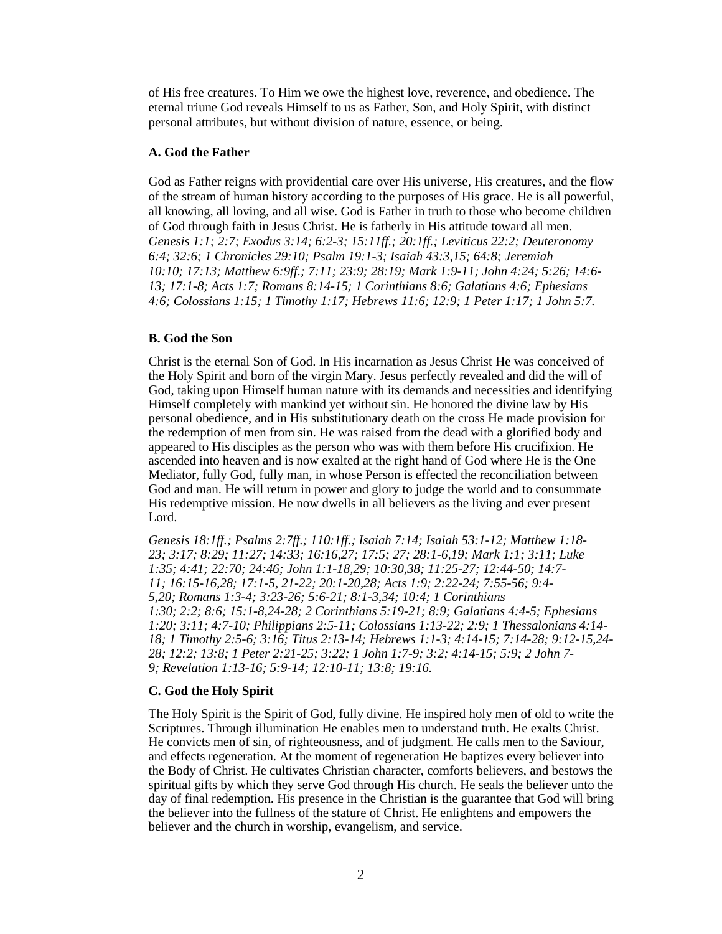of His free creatures. To Him we owe the highest love, reverence, and obedience. The eternal triune God reveals Himself to us as Father, Son, and Holy Spirit, with distinct personal attributes, but without division of nature, essence, or being.

#### **A. God the Father**

God as Father reigns with providential care over His universe, His creatures, and the flow of the stream of human history according to the purposes of His grace. He is all powerful, all knowing, all loving, and all wise. God is Father in truth to those who become children of God through faith in Jesus Christ. He is fatherly in His attitude toward all men. *[Genesis 1:1;](http://biblia.com/bible/hcsb/Genesis%201.1) [2:7;](http://biblia.com/bible/hcsb/Genesis%202.7) [Exodus 3:14;](http://biblia.com/bible/hcsb/Exodus%203.14) [6:2-3;](http://biblia.com/bible/hcsb/Exodus%206.2-3) [15:11ff.](http://biblia.com/bible/hcsb/Exodus%2015.11ff); [20:1ff.](http://biblia.com/bible/hcsb/Exodus%2020.1ff); [Leviticus 22:2;](http://biblia.com/bible/hcsb/Leviticus%2022.2) [Deuteronomy](http://biblia.com/bible/hcsb/Deuteronomy%206.4)  [6:4;](http://biblia.com/bible/hcsb/Deuteronomy%206.4) [32:6;](http://biblia.com/bible/hcsb/Deuteronomy%2032.6) [1 Chronicles 29:10;](http://biblia.com/bible/hcsb/1%20Chronicles%2029.10) [Psalm 19:1-3;](http://biblia.com/bible/hcsb/Psalm%2019.1-3) [Isaiah 43:3,](http://biblia.com/bible/hcsb/Isaiah%2043.3)[15;](http://biblia.com/bible/hcsb/Isaiah%2043.15) [64:8;](http://biblia.com/bible/hcsb/Isaiah%2064.8) [Jeremiah](http://biblia.com/bible/hcsb/Jeremiah%2010.10)  [10:10;](http://biblia.com/bible/hcsb/Jeremiah%2010.10) [17:13;](http://biblia.com/bible/hcsb/Jeremiah%2017.13) [Matthew 6:9ff.](http://biblia.com/bible/hcsb/Matthew%206.9ff); [7:11;](http://biblia.com/bible/hcsb/Matthew%207.11) [23:9;](http://biblia.com/bible/hcsb/Matthew%2023.9) [28:19;](http://biblia.com/bible/hcsb/Matthew%2028.19) [Mark 1:9-11;](http://biblia.com/bible/hcsb/Mark%201.9-11) [John 4:24;](http://biblia.com/bible/hcsb/John%204.24) [5:26;](http://biblia.com/bible/hcsb/John%205.26) [14:6-](http://biblia.com/bible/hcsb/John%2014.6-13) [13;](http://biblia.com/bible/hcsb/John%2014.6-13) [17:1-8;](http://biblia.com/bible/hcsb/John%2017.1-8) [Acts 1:7;](http://biblia.com/bible/hcsb/Acts%201.7) [Romans 8:14-15;](http://biblia.com/bible/hcsb/Romans%208.14-15) [1 Corinthians 8:6;](http://biblia.com/bible/hcsb/1%20Corinthians%208.6) [Galatians 4:6;](http://biblia.com/bible/hcsb/Galatians%204.6) [Ephesians](http://biblia.com/bible/hcsb/Ephesians%204.6)  [4:6;](http://biblia.com/bible/hcsb/Ephesians%204.6) [Colossians 1:15;](http://biblia.com/bible/hcsb/Colossians%201.15) [1 Timothy 1:17;](http://biblia.com/bible/hcsb/1%20Timothy%201.17) [Hebrews 11:6;](http://biblia.com/bible/hcsb/Hebrews%2011.6) [12:9;](http://biblia.com/bible/hcsb/Hebrews%2012.9) [1 Peter 1:17;](http://biblia.com/bible/hcsb/1%20Peter%201.17) [1 John 5:7.](http://biblia.com/bible/hcsb/1%20John%205.7)*

#### **B. God the Son**

Christ is the eternal Son of God. In His incarnation as Jesus Christ He was conceived of the Holy Spirit and born of the virgin Mary. Jesus perfectly revealed and did the will of God, taking upon Himself human nature with its demands and necessities and identifying Himself completely with mankind yet without sin. He honored the divine law by His personal obedience, and in His substitutionary death on the cross He made provision for the redemption of men from sin. He was raised from the dead with a glorified body and appeared to His disciples as the person who was with them before His crucifixion. He ascended into heaven and is now exalted at the right hand of God where He is the One Mediator, fully God, fully man, in whose Person is effected the reconciliation between God and man. He will return in power and glory to judge the world and to consummate His redemptive mission. He now dwells in all believers as the living and ever present Lord.

*[Genesis 18:1ff.](http://biblia.com/bible/hcsb/Genesis%2018.1ff); [Psalms 2:7ff.](http://biblia.com/bible/hcsb/Psalms%202.7ff); [110:1ff.](http://biblia.com/bible/hcsb/Psalms%20110.1ff); [Isaiah 7:14;](http://biblia.com/bible/hcsb/Isaiah%207.14) [Isaiah 53:1-12;](http://biblia.com/bible/hcsb/Isaiah%2053.1-12) [Matthew 1:18-](http://biblia.com/bible/hcsb/Matthew%201.18-23) [23;](http://biblia.com/bible/hcsb/Matthew%201.18-23) [3:17;](http://biblia.com/bible/hcsb/Matthew%203.17) [8:29;](http://biblia.com/bible/hcsb/Matthew%208.29) [11:27;](http://biblia.com/bible/hcsb/Matthew%2011.27) [14:33;](http://biblia.com/bible/hcsb/Matthew%2014.33) [16:16,](http://biblia.com/bible/hcsb/Matthew%2016.16)[27;](http://biblia.com/bible/hcsb/Matthew%2016.27) [17:5;](http://biblia.com/bible/hcsb/Matthew%2017.5) [27;](http://biblia.com/bible/hcsb/Matthew%2017.27) [28:1-6](http://biblia.com/bible/hcsb/Matthew%2028.1-6)[,19;](http://biblia.com/bible/hcsb/Matthew%2028.19) [Mark 1:1;](http://biblia.com/bible/hcsb/Mark%201.1) [3:11;](http://biblia.com/bible/hcsb/Mark%203.11) [Luke](http://biblia.com/bible/hcsb/Luke%201.35)  [1:35;](http://biblia.com/bible/hcsb/Luke%201.35) [4:41;](http://biblia.com/bible/hcsb/Luke%204.41) [22:70;](http://biblia.com/bible/hcsb/Luke%2022.70) [24:46;](http://biblia.com/bible/hcsb/Luke%2024.46) [John 1:1-18](http://biblia.com/bible/hcsb/John%201.1-18)[,29;](http://biblia.com/bible/hcsb/John%201.29) [10:30](http://biblia.com/bible/hcsb/John%2010.30)[,38;](http://biblia.com/bible/hcsb/John%2010.38) [11:25-27;](http://biblia.com/bible/hcsb/John%2011.25-27) [12:44-50;](http://biblia.com/bible/hcsb/John%2012.44-50) [14:7-](http://biblia.com/bible/hcsb/John%2014.7-11) [11;](http://biblia.com/bible/hcsb/John%2014.7-11) [16:15-16](http://biblia.com/bible/hcsb/John%2016.15-16)[,28;](http://biblia.com/bible/hcsb/John%2016.28) [17:1-5,](http://biblia.com/bible/hcsb/John%2017.1-5) [21-22;](http://biblia.com/bible/hcsb/John%2017.21-22) [20:1-20](http://biblia.com/bible/hcsb/John%2020.1-20)[,28;](http://biblia.com/bible/hcsb/John%2020.28) [Acts 1:9;](http://biblia.com/bible/hcsb/Acts%201.9) [2:22-24;](http://biblia.com/bible/hcsb/Acts%202.22-24) [7:55-56;](http://biblia.com/bible/hcsb/Acts%207.55-56) [9:4-](http://biblia.com/bible/hcsb/Acts%209.4-5) [5,](http://biblia.com/bible/hcsb/Acts%209.4-5)[20;](http://biblia.com/bible/hcsb/Acts%209.20) [Romans 1:3-4;](http://biblia.com/bible/hcsb/Romans%201.3-4) [3:23-26;](http://biblia.com/bible/hcsb/Romans%203.23-26) [5:6-21;](http://biblia.com/bible/hcsb/Romans%205.6-21) [8:1-3](http://biblia.com/bible/hcsb/Romans%208.1-3)[,34;](http://biblia.com/bible/hcsb/Romans%208.34) [10:4;](http://biblia.com/bible/hcsb/Romans%2010.4) [1 Corinthians](http://biblia.com/bible/hcsb/1%20Corinthians%201.30)  [1:30;](http://biblia.com/bible/hcsb/1%20Corinthians%201.30) [2:2;](http://biblia.com/bible/hcsb/1%20Corinthians%202.2) [8:6;](http://biblia.com/bible/hcsb/1%20Corinthians%208.6) [15:1-8](http://biblia.com/bible/hcsb/1%20Corinthians%2015.1-8)[,24-28;](http://biblia.com/bible/hcsb/1%20Corinthians%2015.24-28) [2 Corinthians 5:19-21;](http://biblia.com/bible/hcsb/2%20Corinthians%205.19-21) [8:9;](http://biblia.com/bible/hcsb/2%20Corinthians%208.9) [Galatians 4:4-5;](http://biblia.com/bible/hcsb/Galatians%204.4-5) [Ephesians](http://biblia.com/bible/hcsb/Ephesians%201.20)  [1:20;](http://biblia.com/bible/hcsb/Ephesians%201.20) [3:11;](http://biblia.com/bible/hcsb/Ephesians%203.11) [4:7-10;](http://biblia.com/bible/hcsb/Ephesians%204.7-10) [Philippians 2:5-11;](http://biblia.com/bible/hcsb/Philippians%202.5-11) [Colossians 1:13-22;](http://biblia.com/bible/hcsb/Colossians%201.13-22) [2:9;](http://biblia.com/bible/hcsb/Colossians%202.9) [1 Thessalonians 4:14-](http://biblia.com/bible/hcsb/1%20Thessalonians%204.14-18) [18;](http://biblia.com/bible/hcsb/1%20Thessalonians%204.14-18) [1 Timothy 2:5-6;](http://biblia.com/bible/hcsb/1%20Timothy%202.5-6) [3:16;](http://biblia.com/bible/hcsb/1%20Timothy%203.16) [Titus 2:13-14;](http://biblia.com/bible/hcsb/Titus%202.13-14) [Hebrews 1:1-3;](http://biblia.com/bible/hcsb/Hebrews%201.1-3) [4:14-15;](http://biblia.com/bible/hcsb/Hebrews%204.14-15) [7:14-28;](http://biblia.com/bible/hcsb/Hebrews%207.14-28) [9:12-15](http://biblia.com/bible/hcsb/Hebrews%209.12-15)[,24-](http://biblia.com/bible/hcsb/Hebrews%209.24-28) [28;](http://biblia.com/bible/hcsb/Hebrews%209.24-28) [12:2;](http://biblia.com/bible/hcsb/Hebrews%2012.2) [13:8;](http://biblia.com/bible/hcsb/Hebrews%2013.8) [1 Peter 2:21-25;](http://biblia.com/bible/hcsb/1%20Peter%202.21-25) [3:22;](http://biblia.com/bible/hcsb/1%20Peter%203.22) [1 John 1:7-9;](http://biblia.com/bible/hcsb/1%20John%201.7-9) [3:2;](http://biblia.com/bible/hcsb/1%20John%203.2) [4:14-15;](http://biblia.com/bible/hcsb/1%20John%204.14-15) [5:9;](http://biblia.com/bible/hcsb/1%20John%205.9) [2 John 7-](http://biblia.com/bible/hcsb/2%20John%207-9) [9;](http://biblia.com/bible/hcsb/2%20John%207-9) [Revelation 1:13-16;](http://biblia.com/bible/hcsb/Revelation%201.13-16) [5:9-14;](http://biblia.com/bible/hcsb/Revelation%205.9-14) [12:10-11;](http://biblia.com/bible/hcsb/Revelation%2012.10-11) [13:8;](http://biblia.com/bible/hcsb/Revelation%2013.8) [19:16.](http://biblia.com/bible/hcsb/Revelation%2019.16)*

## **C. God the Holy Spirit**

The Holy Spirit is the Spirit of God, fully divine. He inspired holy men of old to write the Scriptures. Through illumination He enables men to understand truth. He exalts Christ. He convicts men of sin, of righteousness, and of judgment. He calls men to the Saviour, and effects regeneration. At the moment of regeneration He baptizes every believer into the Body of Christ. He cultivates Christian character, comforts believers, and bestows the spiritual gifts by which they serve God through His church. He seals the believer unto the day of final redemption. His presence in the Christian is the guarantee that God will bring the believer into the fullness of the stature of Christ. He enlightens and empowers the believer and the church in worship, evangelism, and service.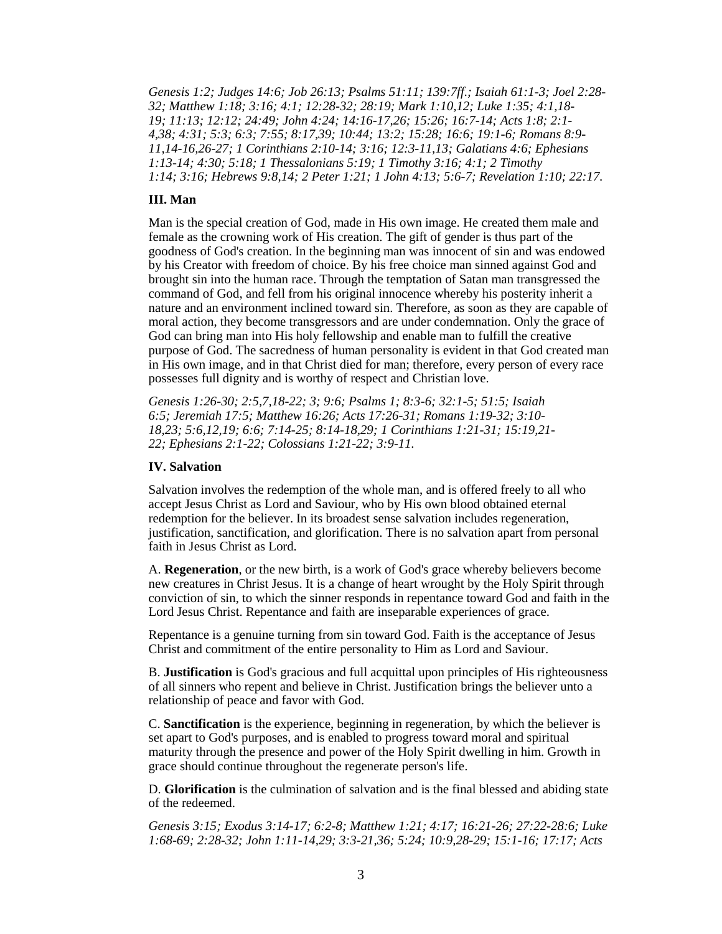*[Genesis 1:2;](http://biblia.com/bible/hcsb/Genesis%201.2) [Judges 14:6;](http://biblia.com/bible/hcsb/Judges%2014.6) [Job 26:13;](http://biblia.com/bible/hcsb/Job%2026.13) [Psalms 51:11;](http://biblia.com/bible/hcsb/Psalms%2051.11) [139:7ff.](http://biblia.com/bible/hcsb/Psalms%20139.7ff); Isaiah [61:1-3;](http://biblia.com/bible/hcsb/Isaiah%2061.1-3) [Joel 2:28-](http://biblia.com/bible/hcsb/Joel%202.28-32) [32;](http://biblia.com/bible/hcsb/Joel%202.28-32) [Matthew 1:18;](http://biblia.com/bible/hcsb/Matthew%201.18) [3:16;](http://biblia.com/bible/hcsb/Matthew%203.16) [4:1;](http://biblia.com/bible/hcsb/Matthew%204.1) [12:28-32;](http://biblia.com/bible/hcsb/Matthew%2012.28-32) [28:19;](http://biblia.com/bible/hcsb/Matthew%2028.19) [Mark 1:10,](http://biblia.com/bible/hcsb/Mark%201.10)[12;](http://biblia.com/bible/hcsb/Mark%201.12) [Luke 1:35;](http://biblia.com/bible/hcsb/Luke%201.35) [4:1](http://biblia.com/bible/hcsb/Luke%204.1)[,18-](http://biblia.com/bible/hcsb/Luke%204.18-19) [19;](http://biblia.com/bible/hcsb/Luke%204.18-19) [11:13;](http://biblia.com/bible/hcsb/Luke%2011.13) [12:12;](http://biblia.com/bible/hcsb/Luke%2012.12) [24:49;](http://biblia.com/bible/hcsb/Luke%2024.49) [John 4:24;](http://biblia.com/bible/hcsb/John%204.24) [14:16-17](http://biblia.com/bible/hcsb/John%2014.16-17)[,26;](http://biblia.com/bible/hcsb/John%2014.26) [15:26;](http://biblia.com/bible/hcsb/John%2015.26) [16:7-14;](http://biblia.com/bible/hcsb/John%2016.7-14) [Acts 1:8;](http://biblia.com/bible/hcsb/Acts%201.8) [2:1-](http://biblia.com/bible/hcsb/Acts%202.1-4) [4,](http://biblia.com/bible/hcsb/Acts%202.1-4)[38;](http://biblia.com/bible/hcsb/Acts%202.38) [4:31;](http://biblia.com/bible/hcsb/Acts%204.31) [5:3;](http://biblia.com/bible/hcsb/Acts%205.3) [6:3;](http://biblia.com/bible/hcsb/Acts%206.3) [7:55;](http://biblia.com/bible/hcsb/Acts%207.55) [8:17](http://biblia.com/bible/hcsb/Acts%208.17)[,39;](http://biblia.com/bible/hcsb/Acts%208.39) [10:44;](http://biblia.com/bible/hcsb/Acts%2010.44) [13:2;](http://biblia.com/bible/hcsb/Acts%2013.2) [15:28;](http://biblia.com/bible/hcsb/Acts%2015.28) [16:6;](http://biblia.com/bible/hcsb/Acts%2016.6) [19:1-6;](http://biblia.com/bible/hcsb/Acts%2019.1-6) [Romans 8:9-](http://biblia.com/bible/hcsb/Romans%208.9-11) [11,](http://biblia.com/bible/hcsb/Romans%208.9-11)[14-16,](http://biblia.com/bible/hcsb/Romans%208.14-16)[26-27;](http://biblia.com/bible/hcsb/Romans%208.26-27) [1 Corinthians 2:10-14;](http://biblia.com/bible/hcsb/1%20Corinthians%202.10-14) [3:16;](http://biblia.com/bible/hcsb/1%20Corinthians%203.16) [12:3-11,](http://biblia.com/bible/hcsb/1%20Corinthians%2012.3-11)[13;](http://biblia.com/bible/hcsb/1%20Corinthians%2012.13) [Galatians 4:6;](http://biblia.com/bible/hcsb/Galatians%204.6) [Ephesians](http://biblia.com/bible/hcsb/Ephesians%201.13-14)  [1:13-14;](http://biblia.com/bible/hcsb/Ephesians%201.13-14) [4:30;](http://biblia.com/bible/hcsb/Ephesians%204.30) [5:18;](http://biblia.com/bible/hcsb/Ephesians%205.18) [1 Thessalonians 5:19;](http://biblia.com/bible/hcsb/1%20Thessalonians%205.19) [1 Timothy 3:16;](http://biblia.com/bible/hcsb/1%20Timothy%203.16) [4:1;](http://biblia.com/bible/hcsb/1%20Timothy%204.1) [2 Timothy](http://biblia.com/bible/hcsb/2%20Timothy%201.14)  [1:14;](http://biblia.com/bible/hcsb/2%20Timothy%201.14) [3:16;](http://biblia.com/bible/hcsb/2%20Timothy%203.16) [Hebrews 9:8](http://biblia.com/bible/hcsb/Hebrews%209.8)[,14;](http://biblia.com/bible/hcsb/Hebrews%209.14) [2 Peter 1:21;](http://biblia.com/bible/hcsb/2%20Peter%201.21) [1 John 4:13;](http://biblia.com/bible/hcsb/1%20John%204.13) [5:6-7;](http://biblia.com/bible/hcsb/1%20John%205.6-7) [Revelation 1:10;](http://biblia.com/bible/hcsb/Revelation%201.10) [22:17.](http://biblia.com/bible/hcsb/Revelation%2022.17)*

#### **III. Man**

Man is the special creation of God, made in His own image. He created them male and female as the crowning work of His creation. The gift of gender is thus part of the goodness of God's creation. In the beginning man was innocent of sin and was endowed by his Creator with freedom of choice. By his free choice man sinned against God and brought sin into the human race. Through the temptation of Satan man transgressed the command of God, and fell from his original innocence whereby his posterity inherit a nature and an environment inclined toward sin. Therefore, as soon as they are capable of moral action, they become transgressors and are under condemnation. Only the grace of God can bring man into His holy fellowship and enable man to fulfill the creative purpose of God. The sacredness of human personality is evident in that God created man in His own image, and in that Christ died for man; therefore, every person of every race possesses full dignity and is worthy of respect and Christian love.

*[Genesis 1:26-30;](http://biblia.com/bible/hcsb/Genesis%201.26-30) [2:5](http://biblia.com/bible/hcsb/Genesis%202.5)[,7](http://biblia.com/bible/hcsb/Genesis%202.7)[,18-22;](http://biblia.com/bible/hcsb/Genesis%202.18-22) [3;](http://biblia.com/bible/hcsb/Genesis%202.3) [9:6;](http://biblia.com/bible/hcsb/Genesis%209.6) Psalms 1; 8:3-6; 32:1-5; 51:5; [Isaiah](http://biblia.com/bible/hcsb/Isaiah%206.5)  [6:5;](http://biblia.com/bible/hcsb/Isaiah%206.5) [Jeremiah 17:5;](http://biblia.com/bible/hcsb/Jeremiah%2017.5) [Matthew 16:26;](http://biblia.com/bible/hcsb/Matthew%2016.26) [Acts 17:26-31;](http://biblia.com/bible/hcsb/Acts%2017.26-31) [Romans 1:19-32;](http://biblia.com/bible/hcsb/Romans%201.19-32) [3:10-](http://biblia.com/bible/hcsb/Romans%203.10-18) [18,](http://biblia.com/bible/hcsb/Romans%203.10-18)[23;](http://biblia.com/bible/hcsb/Romans%203.23) [5:6](http://biblia.com/bible/hcsb/Romans%205.6)[,12](http://biblia.com/bible/hcsb/Romans%205.12)[,19;](http://biblia.com/bible/hcsb/Romans%205.19) [6:6;](http://biblia.com/bible/hcsb/Romans%206.6) [7:14-25;](http://biblia.com/bible/hcsb/Romans%207.14-25) [8:14-18](http://biblia.com/bible/hcsb/Romans%208.14-18)[,29;](http://biblia.com/bible/hcsb/Romans%208.29) [1 Corinthians 1:21-31;](http://biblia.com/bible/hcsb/1%20Corinthians%201.21-31) [15:19](http://biblia.com/bible/hcsb/1%20Corinthians%2015.19)[,21-](http://biblia.com/bible/hcsb/1%20Corinthians%2015.21-22) [22;](http://biblia.com/bible/hcsb/1%20Corinthians%2015.21-22) [Ephesians 2:1-22;](http://biblia.com/bible/hcsb/Ephesians%202.1-22) [Colossians 1:21-22;](http://biblia.com/bible/hcsb/Colossians%201.21-22) [3:9-11.](http://biblia.com/bible/hcsb/Colossians%203.9-11)*

#### **IV. Salvation**

Salvation involves the redemption of the whole man, and is offered freely to all who accept Jesus Christ as Lord and Saviour, who by His own blood obtained eternal redemption for the believer. In its broadest sense salvation includes regeneration, justification, sanctification, and glorification. There is no salvation apart from personal faith in Jesus Christ as Lord.

A. **Regeneration**, or the new birth, is a work of God's grace whereby believers become new creatures in Christ Jesus. It is a change of heart wrought by the Holy Spirit through conviction of sin, to which the sinner responds in repentance toward God and faith in the Lord Jesus Christ. Repentance and faith are inseparable experiences of grace.

Repentance is a genuine turning from sin toward God. Faith is the acceptance of Jesus Christ and commitment of the entire personality to Him as Lord and Saviour.

B. **Justification** is God's gracious and full acquittal upon principles of His righteousness of all sinners who repent and believe in Christ. Justification brings the believer unto a relationship of peace and favor with God.

C. **Sanctification** is the experience, beginning in regeneration, by which the believer is set apart to God's purposes, and is enabled to progress toward moral and spiritual maturity through the presence and power of the Holy Spirit dwelling in him. Growth in grace should continue throughout the regenerate person's life.

D. **Glorification** is the culmination of salvation and is the final blessed and abiding state of the redeemed.

*[Genesis 3:15;](http://biblia.com/bible/hcsb/Genesis%203.15) [Exodus 3:14-17;](http://biblia.com/bible/hcsb/Exodus%203.14-17) [6:2-8;](http://biblia.com/bible/hcsb/Exodus%206.2-8) [Matthew 1:21;](http://biblia.com/bible/hcsb/Matthew%201.21) [4:17;](http://biblia.com/bible/hcsb/Matthew%204.17) [16:21-26;](http://biblia.com/bible/hcsb/Matthew%2016.21-26) [27:22-28:6;](http://biblia.com/bible/hcsb/Matthew%2027.22-28.6) [Luke](http://biblia.com/bible/hcsb/Luke%201.68-69)  [1:68-69;](http://biblia.com/bible/hcsb/Luke%201.68-69) [2:28-32;](http://biblia.com/bible/hcsb/Luke%202.28-32) [John 1:11-14](http://biblia.com/bible/hcsb/John%201.11-14)[,29;](http://biblia.com/bible/hcsb/John%201.29) [3:3-21](http://biblia.com/bible/hcsb/John%203.3-21)[,36;](http://biblia.com/bible/hcsb/John%203.36) [5:24;](http://biblia.com/bible/hcsb/John%205.24) [10:9](http://biblia.com/bible/hcsb/John%2010.9)[,28-29;](http://biblia.com/bible/hcsb/John%2010.28-29) [15:1-16;](http://biblia.com/bible/hcsb/John%2015.1-16) [17:17;](http://biblia.com/bible/hcsb/John%2017.17) [Acts](http://biblia.com/bible/hcsb/Acts%202.21)*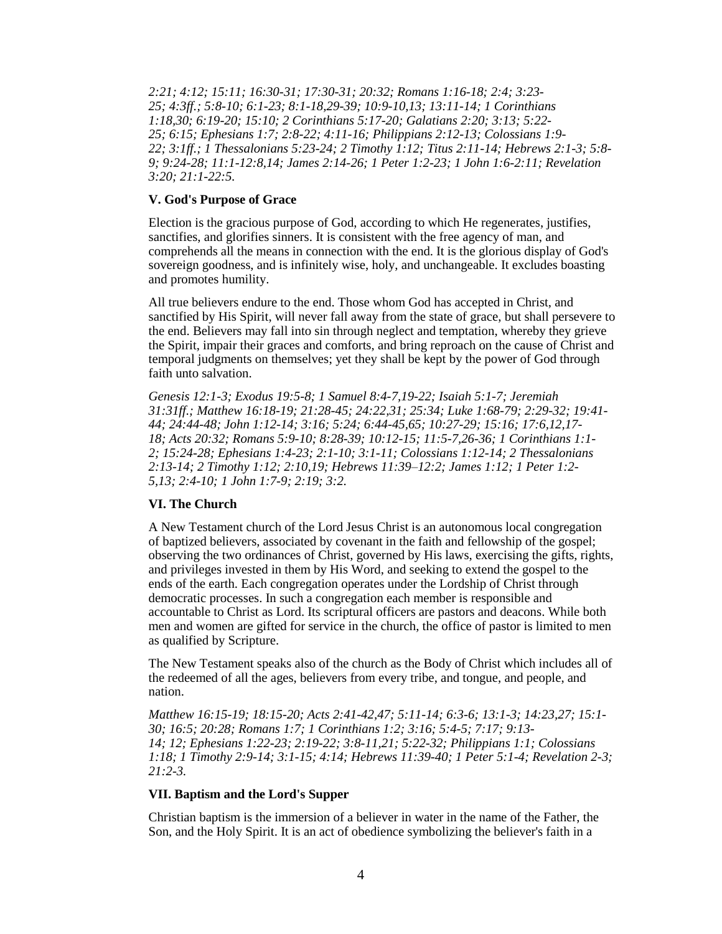*[2:21;](http://biblia.com/bible/hcsb/Acts%202.21) [4:12;](http://biblia.com/bible/hcsb/Acts%204.12) [15:11;](http://biblia.com/bible/hcsb/Acts%2015.11) [16:30-31;](http://biblia.com/bible/hcsb/Acts%2016.30-31) [17:30-31;](http://biblia.com/bible/hcsb/Acts%2017.30-31) [20:32;](http://biblia.com/bible/hcsb/Acts%2020.32) [Romans 1:16-18;](http://biblia.com/bible/hcsb/Romans%201.16-18) [2:4;](http://biblia.com/bible/hcsb/Romans%202.4) [3:23-](http://biblia.com/bible/hcsb/Romans%203.23-25) [25;](http://biblia.com/bible/hcsb/Romans%203.23-25) [4:3ff.](http://biblia.com/bible/hcsb/Romans%204.3ff); [5:8-10;](http://biblia.com/bible/hcsb/Romans%205.8-10) [6:1-23;](http://biblia.com/bible/hcsb/Romans%206.1-23) [8:1-18](http://biblia.com/bible/hcsb/Romans%208.1-18)[,29-39;](http://biblia.com/bible/hcsb/Romans%208.29-39) [10:9-10](http://biblia.com/bible/hcsb/Romans%2010.9-10)[,13;](http://biblia.com/bible/hcsb/Romans%2010.13) [13:11-14;](http://biblia.com/bible/hcsb/Romans%2013.11-14) [1 Corinthians](http://biblia.com/bible/hcsb/1%20Corinthians%201.18)  [1:18](http://biblia.com/bible/hcsb/1%20Corinthians%201.18)[,30;](http://biblia.com/bible/hcsb/1%20Corinthians%201.30) [6:19-20;](http://biblia.com/bible/hcsb/1%20Corinthians%206.19-20) [15:10;](http://biblia.com/bible/hcsb/1%20Corinthians%2015.10) [2 Corinthians 5:17-20;](http://biblia.com/bible/hcsb/2%20Corinthians%205.17-20) [Galatians 2:20;](http://biblia.com/bible/hcsb/Galatians%202.20) [3:13;](http://biblia.com/bible/hcsb/Galatians%203.13) [5:22-](http://biblia.com/bible/hcsb/Galatians%205.22-25) [25;](http://biblia.com/bible/hcsb/Galatians%205.22-25) [6:15;](http://biblia.com/bible/hcsb/Galatians%206.15) [Ephesians 1:7;](http://biblia.com/bible/hcsb/Ephesians%201.7) [2:8-22;](http://biblia.com/bible/hcsb/Ephesians%202.8-22) [4:11-16;](http://biblia.com/bible/hcsb/Ephesians%204.11-16) [Philippians 2:12-13;](http://biblia.com/bible/hcsb/Philippians%202.12-13) [Colossians 1:9-](http://biblia.com/bible/hcsb/Colossians%201.9-22) [22;](http://biblia.com/bible/hcsb/Colossians%201.9-22) [3:1ff.](http://biblia.com/bible/hcsb/Colossians%203.1ff); [1 Thessalonians 5:23-24;](http://biblia.com/bible/hcsb/1%20Thessalonians%205.23-24) [2 Timothy 1:12;](http://biblia.com/bible/hcsb/2%20Timothy%201.12) [Titus 2:11-14;](http://biblia.com/bible/hcsb/Titus%202.11-14) [Hebrews 2:1-3;](http://biblia.com/bible/hcsb/Hebrews%202.1-3) [5:8-](http://biblia.com/bible/hcsb/Hebrews%205.8-9) [9;](http://biblia.com/bible/hcsb/Hebrews%205.8-9) [9:24-28;](http://biblia.com/bible/hcsb/Hebrews%209.24-28) [11:1-12:8](http://biblia.com/bible/hcsb/Hebrews%2011.1-12.8)[,14;](http://biblia.com/bible/hcsb/Hebrews%2011.14) [James 2:14-26;](http://biblia.com/bible/hcsb/James%202.14-26) [1 Peter 1:2-23;](http://biblia.com/bible/hcsb/1%20Peter%201.2-23) [1 John 1:6-2:11;](http://biblia.com/bible/hcsb/1%20John%201.6-2.11) [Revelation](http://biblia.com/bible/hcsb/Revelation%203.20)  [3:20;](http://biblia.com/bible/hcsb/Revelation%203.20) [21:1-22:5.](http://biblia.com/bible/hcsb/Revelation%2021.1-22.5)*

#### **V. God's Purpose of Grace**

Election is the gracious purpose of God, according to which He regenerates, justifies, sanctifies, and glorifies sinners. It is consistent with the free agency of man, and comprehends all the means in connection with the end. It is the glorious display of God's sovereign goodness, and is infinitely wise, holy, and unchangeable. It excludes boasting and promotes humility.

All true believers endure to the end. Those whom God has accepted in Christ, and sanctified by His Spirit, will never fall away from the state of grace, but shall persevere to the end. Believers may fall into sin through neglect and temptation, whereby they grieve the Spirit, impair their graces and comforts, and bring reproach on the cause of Christ and temporal judgments on themselves; yet they shall be kept by the power of God through faith unto salvation.

*[Genesis 12:1-3;](http://biblia.com/bible/hcsb/Genesis%2012.1-3) [Exodus 19:5-8;](http://biblia.com/bible/hcsb/Exodus%2019.5-8) [1 Samuel 8:4-7,](http://biblia.com/bible/hcsb/1%20Samuel%208.4-7)[19-22;](http://biblia.com/bible/hcsb/1%20Samuel%208.19-22) [Isaiah 5:1-7;](http://biblia.com/bible/hcsb/Isaiah%205.1-7) [Jeremiah](http://biblia.com/bible/hcsb/Jeremiah%2031.31ff)  [31:31ff.](http://biblia.com/bible/hcsb/Jeremiah%2031.31ff); [Matthew 16:18-19;](http://biblia.com/bible/hcsb/Matthew%2016.18-19) [21:28-45;](http://biblia.com/bible/hcsb/Matthew%2021.28-45) [24:22,](http://biblia.com/bible/hcsb/Matthew%2024.22)[31;](http://biblia.com/bible/hcsb/Matthew%2024.31) [25:34;](http://biblia.com/bible/hcsb/Matthew%2025.34) [Luke 1:68-79;](http://biblia.com/bible/hcsb/Luke%201.68-79) [2:29-32;](http://biblia.com/bible/hcsb/Luke%202.29-32) [19:41-](http://biblia.com/bible/hcsb/Luke%2019.41-44) [44;](http://biblia.com/bible/hcsb/Luke%2019.41-44) [24:44-48;](http://biblia.com/bible/hcsb/Luke%2024.44-48) [John 1:12-14;](http://biblia.com/bible/hcsb/John%201.12-14) [3:16;](http://biblia.com/bible/hcsb/John%203.16) [5:24;](http://biblia.com/bible/hcsb/John%205.24) [6:44-45](http://biblia.com/bible/hcsb/John%206.44-45)[,65;](http://biblia.com/bible/hcsb/John%206.65) [10:27-29;](http://biblia.com/bible/hcsb/John%2010.27-29) [15:16;](http://biblia.com/bible/hcsb/John%2015.16) [17:6](http://biblia.com/bible/hcsb/John%2017.6)[,12,](http://biblia.com/bible/hcsb/John%2017.12)[17-](http://biblia.com/bible/hcsb/John%2017.17-18) [18;](http://biblia.com/bible/hcsb/John%2017.17-18) [Acts 20:32;](http://biblia.com/bible/hcsb/Acts%2020.32) [Romans 5:9-10;](http://biblia.com/bible/hcsb/Romans%205.9-10) [8:28-39;](http://biblia.com/bible/hcsb/Romans%208.28-39) [10:12-15;](http://biblia.com/bible/hcsb/Romans%2010.12-15) [11:5-7](http://biblia.com/bible/hcsb/Romans%2011.5-7)[,26-36;](http://biblia.com/bible/hcsb/Romans%2011.26-36) [1 Corinthians 1:1-](http://biblia.com/bible/hcsb/1%20Corinthians%201.1-2) [2;](http://biblia.com/bible/hcsb/1%20Corinthians%201.1-2) [15:24-28;](http://biblia.com/bible/hcsb/1%20Corinthians%2015.24-28) [Ephesians 1:4-23;](http://biblia.com/bible/hcsb/Ephesians%201.4-23) [2:1-10;](http://biblia.com/bible/hcsb/Ephesians%202.1-10) [3:1-11;](http://biblia.com/bible/hcsb/Ephesians%203.1-11) [Colossians 1:12-14;](http://biblia.com/bible/hcsb/Colossians%201.12-14) [2 Thessalonians](http://biblia.com/bible/hcsb/2%20Thessalonians%202.13-14)  [2:13-14;](http://biblia.com/bible/hcsb/2%20Thessalonians%202.13-14) [2 Timothy 1:12;](http://biblia.com/bible/hcsb/2%20Timothy%201.12) [2:10](http://biblia.com/bible/hcsb/2%20Timothy%202.10)[,19;](http://biblia.com/bible/hcsb/2%20Timothy%202.19) [Hebrews 11:39–12:2;](http://biblia.com/bible/hcsb/Hebrews%2011.39%E2%80%9312.2) [James 1:12;](http://biblia.com/bible/hcsb/James%201.12) [1 Peter 1:2-](http://biblia.com/bible/hcsb/1%20Peter%201.2-5) [5,](http://biblia.com/bible/hcsb/1%20Peter%201.2-5)[13;](http://biblia.com/bible/hcsb/1%20Peter%201.13) [2:4-10;](http://biblia.com/bible/hcsb/1%20Peter%202.4-10) [1 John 1:7-9;](http://biblia.com/bible/hcsb/1%20John%201.7-9) [2:19;](http://biblia.com/bible/hcsb/1%20John%202.19) [3:2.](http://biblia.com/bible/hcsb/1%20John%203.2)*

## **VI. The Church**

A New Testament church of the Lord Jesus Christ is an autonomous local congregation of baptized believers, associated by covenant in the faith and fellowship of the gospel; observing the two ordinances of Christ, governed by His laws, exercising the gifts, rights, and privileges invested in them by His Word, and seeking to extend the gospel to the ends of the earth. Each congregation operates under the Lordship of Christ through democratic processes. In such a congregation each member is responsible and accountable to Christ as Lord. Its scriptural officers are pastors and deacons. While both men and women are gifted for service in the church, the office of pastor is limited to men as qualified by Scripture.

The New Testament speaks also of the church as the Body of Christ which includes all of the redeemed of all the ages, believers from every tribe, and tongue, and people, and nation.

*[Matthew 16:15-19;](http://biblia.com/bible/hcsb/Matthew%2016.15-19) [18:15-20;](http://biblia.com/bible/hcsb/Matthew%2018.15-20) [Acts 2:41-42](http://biblia.com/bible/hcsb/Acts%202.41-42)[,47;](http://biblia.com/bible/hcsb/Acts%202.47) [5:11-14;](http://biblia.com/bible/hcsb/Acts%205.11-14) [6:3-6;](http://biblia.com/bible/hcsb/Acts%206.3-6) [13:1-3;](http://biblia.com/bible/hcsb/Acts%2013.1-3) [14:23,](http://biblia.com/bible/hcsb/Acts%2014.23)[27;](http://biblia.com/bible/hcsb/Acts%2014.27) [15:1-](http://biblia.com/bible/hcsb/Acts%2015.1-30) [30;](http://biblia.com/bible/hcsb/Acts%2015.1-30) [16:5;](http://biblia.com/bible/hcsb/Acts%2016.5) [20:28;](http://biblia.com/bible/hcsb/Acts%2020.28) [Romans 1:7;](http://biblia.com/bible/hcsb/Romans%201.7) [1 Corinthians 1:2;](http://biblia.com/bible/hcsb/1%20Corinthians%201.2) [3:16;](http://biblia.com/bible/hcsb/1%20Corinthians%203.16) [5:4-5;](http://biblia.com/bible/hcsb/1%20Corinthians%205.4-5) [7:17;](http://biblia.com/bible/hcsb/1%20Corinthians%207.17) [9:13-](http://biblia.com/bible/hcsb/1%20Corinthians%209.13-14) [14;](http://biblia.com/bible/hcsb/1%20Corinthians%209.13-14) [12;](http://biblia.com/bible/hcsb/1%20Corinthians%209.12) [Ephesians 1:22-23;](http://biblia.com/bible/hcsb/Ephesians%201.22-23) [2:19-22;](http://biblia.com/bible/hcsb/Ephesians%202.19-22) [3:8-11](http://biblia.com/bible/hcsb/Ephesians%203.8-11)[,21;](http://biblia.com/bible/hcsb/Ephesians%203.21) [5:22-32;](http://biblia.com/bible/hcsb/Ephesians%205.22-32) [Philippians 1:1;](http://biblia.com/bible/hcsb/Philippians%201.1) [Colossians](http://biblia.com/bible/hcsb/Colossians%201.18)  [1:18;](http://biblia.com/bible/hcsb/Colossians%201.18) [1 Timothy 2:9-14;](http://biblia.com/bible/hcsb/1%20Timothy%202.9-14) [3:1-15;](http://biblia.com/bible/hcsb/1%20Timothy%203.1-15) [4:14;](http://biblia.com/bible/hcsb/1%20Timothy%204.14) [Hebrews 11:39-40;](http://biblia.com/bible/hcsb/Hebrews%2011.39-40) [1 Peter 5:1-4;](http://biblia.com/bible/hcsb/1%20Peter%205.1-4) Revelation 2-3; 21:2-3.*

#### **VII. Baptism and the Lord's Supper**

Christian baptism is the immersion of a believer in water in the name of the Father, the Son, and the Holy Spirit. It is an act of obedience symbolizing the believer's faith in a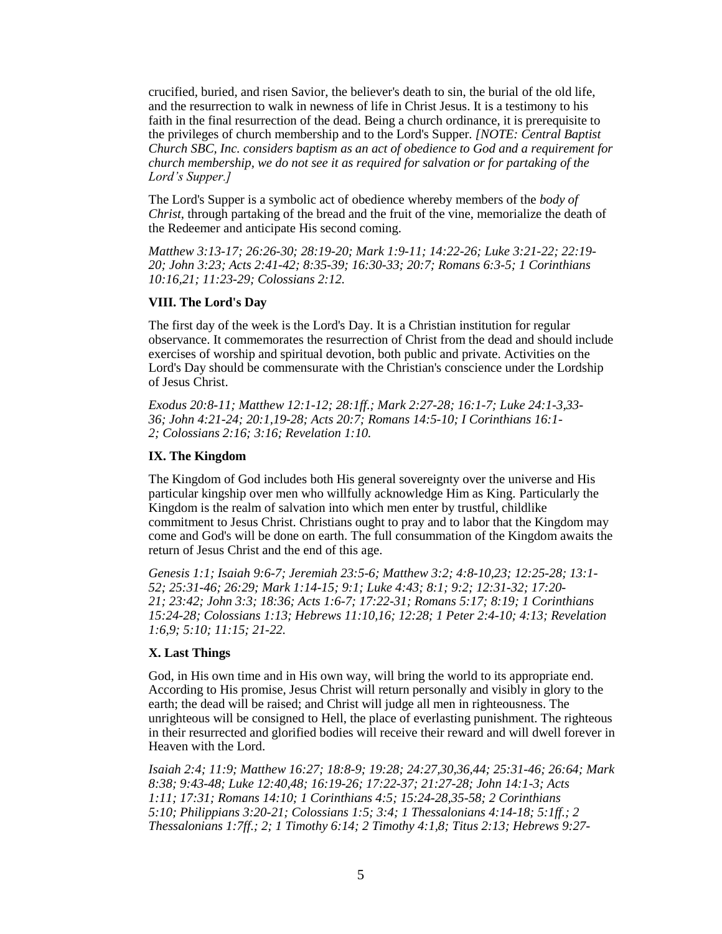crucified, buried, and risen Savior, the believer's death to sin, the burial of the old life, and the resurrection to walk in newness of life in Christ Jesus. It is a testimony to his faith in the final resurrection of the dead. Being a church ordinance, it is prerequisite to the privileges of church membership and to the Lord's Supper*. [NOTE: Central Baptist Church SBC, Inc. considers baptism as an act of obedience to God and a requirement for church membership, we do not see it as required for salvation or for partaking of the Lord's Supper.]*

The Lord's Supper is a symbolic act of obedience whereby members of the *body of Christ*, through partaking of the bread and the fruit of the vine, memorialize the death of the Redeemer and anticipate His second coming.

*[Matthew 3:13-17;](http://biblia.com/bible/hcsb/Matthew%203.13-17) [26:26-30;](http://biblia.com/bible/hcsb/Matthew%2026.26-30) [28:19-20;](http://biblia.com/bible/hcsb/Matthew%2028.19-20) [Mark 1:9-11;](http://biblia.com/bible/hcsb/Mark%201.9-11) [14:22-26;](http://biblia.com/bible/hcsb/Mark%2014.22-26) [Luke 3:21-22;](http://biblia.com/bible/hcsb/Luke%203.21-22) [22:19-](http://biblia.com/bible/hcsb/Luke%2022.19-20) [20;](http://biblia.com/bible/hcsb/Luke%2022.19-20) [John 3:23;](http://biblia.com/bible/hcsb/John%203.23) [Acts 2:41-42;](http://biblia.com/bible/hcsb/Acts%202.41-42) [8:35-39;](http://biblia.com/bible/hcsb/Acts%208.35-39) [16:30-33;](http://biblia.com/bible/hcsb/Acts%2016.30-33) [20:7;](http://biblia.com/bible/hcsb/Acts%2020.7) [Romans 6:3-5;](http://biblia.com/bible/hcsb/Romans%206.3-5) [1 Corinthians](http://biblia.com/bible/hcsb/1%20Corinthians%2010.16)  [10:16](http://biblia.com/bible/hcsb/1%20Corinthians%2010.16)[,21;](http://biblia.com/bible/hcsb/1%20Corinthians%2010.21) [11:23-29;](http://biblia.com/bible/hcsb/1%20Corinthians%2011.23-29) [Colossians 2:12.](http://biblia.com/bible/hcsb/Colossians%202.12)*

# **VIII. The Lord's Day**

The first day of the week is the Lord's Day. It is a Christian institution for regular observance. It commemorates the resurrection of Christ from the dead and should include exercises of worship and spiritual devotion, both public and private. Activities on the Lord's Day should be commensurate with the Christian's conscience under the Lordship of Jesus Christ.

*[Exodus 20:8-11;](http://biblia.com/bible/hcsb/Exodus%2020.8-11) [Matthew 12:1-12;](http://biblia.com/bible/hcsb/Matthew%2012.1-12) [28:1ff.](http://biblia.com/bible/hcsb/Matthew%2028.1ff); [Mark 2:27-28;](http://biblia.com/bible/hcsb/Mark%202.27-28) [16:1-7;](http://biblia.com/bible/hcsb/Mark%2016.1-7) [Luke 24:1-3,](http://biblia.com/bible/hcsb/Luke%2024.1-3)[33-](http://biblia.com/bible/hcsb/Luke%2024.33-36) [36;](http://biblia.com/bible/hcsb/Luke%2024.33-36) [John 4:21-24;](http://biblia.com/bible/hcsb/John%204.21-24) [20:1](http://biblia.com/bible/hcsb/John%2020.1)[,19-28;](http://biblia.com/bible/hcsb/John%2020.19-28) [Acts 20:7;](http://biblia.com/bible/hcsb/Acts%2020.7) [Romans 14:5-10;](http://biblia.com/bible/hcsb/Romans%2014.5-10) [I Corinthians 16:1-](http://biblia.com/bible/hcsb/I%20Corinthians%2016.1-2) [2;](http://biblia.com/bible/hcsb/I%20Corinthians%2016.1-2) [Colossians 2:16;](http://biblia.com/bible/hcsb/Colossians%202.16) [3:16;](http://biblia.com/bible/hcsb/Colossians%203.16) [Revelation 1:10.](http://biblia.com/bible/hcsb/Revelation%201.10)*

## **IX. The Kingdom**

The Kingdom of God includes both His general sovereignty over the universe and His particular kingship over men who willfully acknowledge Him as King. Particularly the Kingdom is the realm of salvation into which men enter by trustful, childlike commitment to Jesus Christ. Christians ought to pray and to labor that the Kingdom may come and God's will be done on earth. The full consummation of the Kingdom awaits the return of Jesus Christ and the end of this age.

*[Genesis 1:1;](http://biblia.com/bible/hcsb/Genesis%201.1) [Isaiah 9:6-7;](http://biblia.com/bible/hcsb/Isaiah%209.6-7) [Jeremiah 23:5-6;](http://biblia.com/bible/hcsb/Jeremiah%2023.5-6) [Matthew 3:2;](http://biblia.com/bible/hcsb/Matthew%203.2) [4:8-10](http://biblia.com/bible/hcsb/Matthew%204.8-10)[,23;](http://biblia.com/bible/hcsb/Matthew%204.23) [12:25-28;](http://biblia.com/bible/hcsb/Matthew%2012.25-28) [13:1-](http://biblia.com/bible/hcsb/Matthew%2013.1-52) [52;](http://biblia.com/bible/hcsb/Matthew%2013.1-52) [25:31-46;](http://biblia.com/bible/hcsb/Matthew%2025.31-46) [26:29;](http://biblia.com/bible/hcsb/Matthew%2026.29) [Mark 1:14-15;](http://biblia.com/bible/hcsb/Mark%201.14-15) [9:1;](http://biblia.com/bible/hcsb/Mark%209.1) [Luke 4:43;](http://biblia.com/bible/hcsb/Luke%204.43) [8:1;](http://biblia.com/bible/hcsb/Luke%208.1) [9:2;](http://biblia.com/bible/hcsb/Luke%209.2) [12:31-32;](http://biblia.com/bible/hcsb/Luke%2012.31-32) [17:20-](http://biblia.com/bible/hcsb/Luke%2017.20-21) [21;](http://biblia.com/bible/hcsb/Luke%2017.20-21) [23:42;](http://biblia.com/bible/hcsb/Luke%2023.42) [John 3:3;](http://biblia.com/bible/hcsb/John%203.3) [18:36;](http://biblia.com/bible/hcsb/John%2018.36) [Acts 1:6-7;](http://biblia.com/bible/hcsb/Acts%201.6-7) [17:22-31;](http://biblia.com/bible/hcsb/Acts%2017.22-31) [Romans 5:17;](http://biblia.com/bible/hcsb/Romans%205.17) [8:19;](http://biblia.com/bible/hcsb/Romans%208.19) [1 Corinthians](http://biblia.com/bible/hcsb/1%20Corinthians%2015.24-28)  [15:24-28;](http://biblia.com/bible/hcsb/1%20Corinthians%2015.24-28) [Colossians 1:13;](http://biblia.com/bible/hcsb/Colossians%201.13) [Hebrews 11:10](http://biblia.com/bible/hcsb/Hebrews%2011.10)[,16;](http://biblia.com/bible/hcsb/Hebrews%2011.16) [12:28;](http://biblia.com/bible/hcsb/Hebrews%2012.28) [1 Peter 2:4-10;](http://biblia.com/bible/hcsb/1%20Peter%202.4-10) [4:13;](http://biblia.com/bible/hcsb/1%20Peter%204.13) [Revelation](http://biblia.com/bible/hcsb/Revelation%201.6)  [1:6](http://biblia.com/bible/hcsb/Revelation%201.6)[,9;](http://biblia.com/bible/hcsb/Revelation%201.9) [5:10;](http://biblia.com/bible/hcsb/Revelation%205.10) [11:15;](http://biblia.com/bible/hcsb/Revelation%2011.15) [21-22.](http://biblia.com/bible/hcsb/Revelation%2011.21-22)*

# **X. Last Things**

God, in His own time and in His own way, will bring the world to its appropriate end. According to His promise, Jesus Christ will return personally and visibly in glory to the earth; the dead will be raised; and Christ will judge all men in righteousness. The unrighteous will be consigned to Hell, the place of everlasting punishment. The righteous in their resurrected and glorified bodies will receive their reward and will dwell forever in Heaven with the Lord.

*[Isaiah 2:4;](http://biblia.com/bible/hcsb/Isaiah%202.4) [11:9;](http://biblia.com/bible/hcsb/Isaiah%2011.9) [Matthew 16:27;](http://biblia.com/bible/hcsb/Matthew%2016.27) [18:8-9;](http://biblia.com/bible/hcsb/Matthew%2018.8-9) [19:28;](http://biblia.com/bible/hcsb/Matthew%2019.28) [24:27](http://biblia.com/bible/hcsb/Matthew%2024.27)[,30](http://biblia.com/bible/hcsb/Matthew%2024.30)[,36](http://biblia.com/bible/hcsb/Matthew%2024.36)[,44;](http://biblia.com/bible/hcsb/Matthew%2024.44) [25:31-46;](http://biblia.com/bible/hcsb/Matthew%2025.31-46) [26:64;](http://biblia.com/bible/hcsb/Matthew%2026.64) [Mark](http://biblia.com/bible/hcsb/Mark%208.38)  [8:38;](http://biblia.com/bible/hcsb/Mark%208.38) [9:43-48;](http://biblia.com/bible/hcsb/Mark%209.43-48) [Luke 12:40](http://biblia.com/bible/hcsb/Luke%2012.40)[,48;](http://biblia.com/bible/hcsb/Luke%2012.48) [16:19-26;](http://biblia.com/bible/hcsb/Luke%2016.19-26) [17:22-37;](http://biblia.com/bible/hcsb/Luke%2017.22-37) [21:27-28;](http://biblia.com/bible/hcsb/Luke%2021.27-28) [John 14:1-3;](http://biblia.com/bible/hcsb/John%2014.1-3) [Acts](http://biblia.com/bible/hcsb/Acts%201.11)  [1:11;](http://biblia.com/bible/hcsb/Acts%201.11) [17:31;](http://biblia.com/bible/hcsb/Acts%2017.31) [Romans 14:10;](http://biblia.com/bible/hcsb/Romans%2014.10) [1 Corinthians 4:5;](http://biblia.com/bible/hcsb/1%20Corinthians%204.5) [15:24-28](http://biblia.com/bible/hcsb/1%20Corinthians%2015.24-28)[,35-58;](http://biblia.com/bible/hcsb/1%20Corinthians%2015.35-58) [2 Corinthians](http://biblia.com/bible/hcsb/2%20Corinthians%205.10)  [5:10;](http://biblia.com/bible/hcsb/2%20Corinthians%205.10) [Philippians 3:20-21;](http://biblia.com/bible/hcsb/Philippians%203.20-21) [Colossians 1:5;](http://biblia.com/bible/hcsb/Colossians%201.5) [3:4;](http://biblia.com/bible/hcsb/Colossians%203.4) [1 Thessalonians 4:14-18;](http://biblia.com/bible/hcsb/1%20Thessalonians%204.14-18) [5:1ff.](http://biblia.com/bible/hcsb/1%20Thessalonians%205.1ff); [2](http://biblia.com/bible/hcsb/2%20Thessalonians%201.7ff)  [Thessalonians 1:7ff.](http://biblia.com/bible/hcsb/2%20Thessalonians%201.7ff); [2;](http://biblia.com/bible/hcsb/2%20Thessalonians%201.2) [1 Timothy 6:14;](http://biblia.com/bible/hcsb/1%20Timothy%206.14) [2 Timothy 4:1](http://biblia.com/bible/hcsb/2%20Timothy%204.1)[,8;](http://biblia.com/bible/hcsb/2%20Timothy%204.8) [Titus 2:13;](http://biblia.com/bible/hcsb/Titus%202.13) [Hebrews 9:27-](http://biblia.com/bible/hcsb/Hebrews%209.27-28)*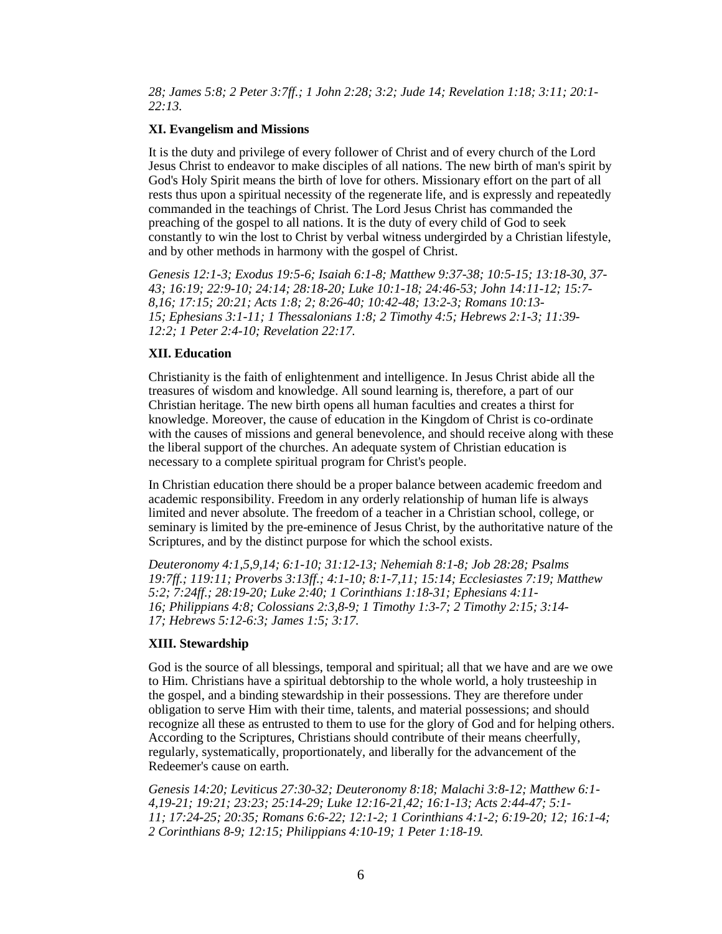*[28;](http://biblia.com/bible/hcsb/Hebrews%209.27-28) [James 5:8;](http://biblia.com/bible/hcsb/James%205.8) [2 Peter 3:7ff.](http://biblia.com/bible/hcsb/2%20Peter%203.7ff); [1 John 2:28;](http://biblia.com/bible/hcsb/1%20John%202.28) [3:2;](http://biblia.com/bible/hcsb/1%20John%203.2) [Jude 14;](http://biblia.com/bible/hcsb/Jude%2014) [Revelation 1:18;](http://biblia.com/bible/hcsb/Revelation%201.18) [3:11;](http://biblia.com/bible/hcsb/Revelation%203.11) [20:1-](http://biblia.com/bible/hcsb/Revelation%2020.1-22.13) [22:13.](http://biblia.com/bible/hcsb/Revelation%2020.1-22.13)*

# **XI. Evangelism and Missions**

It is the duty and privilege of every follower of Christ and of every church of the Lord Jesus Christ to endeavor to make disciples of all nations. The new birth of man's spirit by God's Holy Spirit means the birth of love for others. Missionary effort on the part of all rests thus upon a spiritual necessity of the regenerate life, and is expressly and repeatedly commanded in the teachings of Christ. The Lord Jesus Christ has commanded the preaching of the gospel to all nations. It is the duty of every child of God to seek constantly to win the lost to Christ by verbal witness undergirded by a Christian lifestyle, and by other methods in harmony with the gospel of Christ.

*[Genesis 12:1-3;](http://biblia.com/bible/hcsb/Genesis%2012.1-3) [Exodus 19:5-6;](http://biblia.com/bible/hcsb/Exodus%2019.5-6) [Isaiah 6:1-8;](http://biblia.com/bible/hcsb/Isaiah%206.1-8) [Matthew 9:37-38;](http://biblia.com/bible/hcsb/Matthew%209.37-38) [10:5-15;](http://biblia.com/bible/hcsb/Matthew%2010.5-15) [13:18-30,](http://biblia.com/bible/hcsb/Matthew%2013.18-30) [37-](http://biblia.com/bible/hcsb/Matthew%2013.37-43) [43;](http://biblia.com/bible/hcsb/Matthew%2013.37-43) [16:19;](http://biblia.com/bible/hcsb/Matthew%2016.19) [22:9-10;](http://biblia.com/bible/hcsb/Matthew%2022.9-10) [24:14;](http://biblia.com/bible/hcsb/Matthew%2024.14) [28:18-20;](http://biblia.com/bible/hcsb/Matthew%2028.18-20) [Luke 10:1-18;](http://biblia.com/bible/hcsb/Luke%2010.1-18) [24:46-53;](http://biblia.com/bible/hcsb/Luke%2024.46-53) [John 14:11-12;](http://biblia.com/bible/hcsb/John%2014.11-12) [15:7-](http://biblia.com/bible/hcsb/John%2015.7-8) [8,](http://biblia.com/bible/hcsb/John%2015.7-8)[16;](http://biblia.com/bible/hcsb/John%2015.16) [17:15;](http://biblia.com/bible/hcsb/John%2017.15) [20:21;](http://biblia.com/bible/hcsb/John%2020.21) [Acts 1:8;](http://biblia.com/bible/hcsb/Acts%201.8) [2;](http://biblia.com/bible/hcsb/Acts%201.2) [8:26-40;](http://biblia.com/bible/hcsb/Acts%208.26-40) [10:42-48;](http://biblia.com/bible/hcsb/Acts%2010.42-48) [13:2-3;](http://biblia.com/bible/hcsb/Acts%2013.2-3) [Romans 10:13-](http://biblia.com/bible/hcsb/Romans%2010.13-15) [15;](http://biblia.com/bible/hcsb/Romans%2010.13-15) [Ephesians 3:1-11;](http://biblia.com/bible/hcsb/Ephesians%203.1-11) [1 Thessalonians 1:8;](http://biblia.com/bible/hcsb/1%20Thessalonians%201.8) [2 Timothy 4:5;](http://biblia.com/bible/hcsb/2%20Timothy%204.5) [Hebrews 2:1-3;](http://biblia.com/bible/hcsb/Hebrews%202.1-3) [11:39-](http://biblia.com/bible/hcsb/Hebrews%2011.39-12.2) [12:2;](http://biblia.com/bible/hcsb/Hebrews%2011.39-12.2) [1 Peter 2:4-10;](http://biblia.com/bible/hcsb/1%20Peter%202.4-10) [Revelation 22:17.](http://biblia.com/bible/hcsb/Revelation%2022.17)*

## **XII. Education**

Christianity is the faith of enlightenment and intelligence. In Jesus Christ abide all the treasures of wisdom and knowledge. All sound learning is, therefore, a part of our Christian heritage. The new birth opens all human faculties and creates a thirst for knowledge. Moreover, the cause of education in the Kingdom of Christ is co-ordinate with the causes of missions and general benevolence, and should receive along with these the liberal support of the churches. An adequate system of Christian education is necessary to a complete spiritual program for Christ's people.

In Christian education there should be a proper balance between academic freedom and academic responsibility. Freedom in any orderly relationship of human life is always limited and never absolute. The freedom of a teacher in a Christian school, college, or seminary is limited by the pre-eminence of Jesus Christ, by the authoritative nature of the Scriptures, and by the distinct purpose for which the school exists.

*[Deuteronomy 4:1,](http://biblia.com/bible/hcsb/Deuteronomy%204.1)[5](http://biblia.com/bible/hcsb/Deuteronomy%204.5)[,9](http://biblia.com/bible/hcsb/Deuteronomy%204.9)[,14;](http://biblia.com/bible/hcsb/Deuteronomy%204.14) [6:1-10;](http://biblia.com/bible/hcsb/Deuteronomy%206.1-10) [31:12-13;](http://biblia.com/bible/hcsb/Deuteronomy%2031.12-13) [Nehemiah 8:1-8;](http://biblia.com/bible/hcsb/Nehemiah%208.1-8) [Job 28:28;](http://biblia.com/bible/hcsb/Job%2028.28) [Psalms](http://biblia.com/bible/hcsb/Psalms%2019.7ff)  [19:7ff.](http://biblia.com/bible/hcsb/Psalms%2019.7ff); [119:11;](http://biblia.com/bible/hcsb/Psalms%20119.11) [Proverbs 3:13ff.](http://biblia.com/bible/hcsb/Proverbs%203.13ff); [4:1-10;](http://biblia.com/bible/hcsb/Proverbs%204.1-10) [8:1-7](http://biblia.com/bible/hcsb/Proverbs%208.1-7)[,11;](http://biblia.com/bible/hcsb/Proverbs%208.11) [15:14;](http://biblia.com/bible/hcsb/Proverbs%2015.14) [Ecclesiastes 7:19;](http://biblia.com/bible/hcsb/Ecclesiastes%207.19) [Matthew](http://biblia.com/bible/hcsb/Matthew%205.2)  [5:2;](http://biblia.com/bible/hcsb/Matthew%205.2) [7:24ff.](http://biblia.com/bible/hcsb/Matthew%207.24ff); [28:19-20;](http://biblia.com/bible/hcsb/Matthew%2028.19-20) [Luke 2:40;](http://biblia.com/bible/hcsb/Luke%202.40) [1 Corinthians 1:18-31;](http://biblia.com/bible/hcsb/1%20Corinthians%201.18-31) [Ephesians 4:11-](http://biblia.com/bible/hcsb/Ephesians%204.11-16) [16;](http://biblia.com/bible/hcsb/Ephesians%204.11-16) [Philippians 4:8;](http://biblia.com/bible/hcsb/Philippians%204.8) [Colossians 2:3](http://biblia.com/bible/hcsb/Colossians%202.3)[,8-9;](http://biblia.com/bible/hcsb/Colossians%202.8-9) [1 Timothy 1:3-7;](http://biblia.com/bible/hcsb/1%20Timothy%201.3-7) [2 Timothy 2:15;](http://biblia.com/bible/hcsb/2%20Timothy%202.15) [3:14-](http://biblia.com/bible/hcsb/2%20Timothy%203.14-17) [17;](http://biblia.com/bible/hcsb/2%20Timothy%203.14-17) [Hebrews 5:12-6:3;](http://biblia.com/bible/hcsb/Hebrews%205.12-6.3) [James 1:5;](http://biblia.com/bible/hcsb/James%201.5) [3:17.](http://biblia.com/bible/hcsb/James%203.17)*

# **XIII. Stewardship**

God is the source of all blessings, temporal and spiritual; all that we have and are we owe to Him. Christians have a spiritual debtorship to the whole world, a holy trusteeship in the gospel, and a binding stewardship in their possessions. They are therefore under obligation to serve Him with their time, talents, and material possessions; and should recognize all these as entrusted to them to use for the glory of God and for helping others. According to the Scriptures, Christians should contribute of their means cheerfully, regularly, systematically, proportionately, and liberally for the advancement of the Redeemer's cause on earth.

*[Genesis 14:20;](http://biblia.com/bible/hcsb/Genesis%2014.20) [Leviticus 27:30-32;](http://biblia.com/bible/hcsb/Leviticus%2027.30-32) [Deuteronomy 8:18;](http://biblia.com/bible/hcsb/Deuteronomy%208.18) [Malachi 3:8-12;](http://biblia.com/bible/hcsb/Malachi%203.8-12) [Matthew 6:1-](http://biblia.com/bible/hcsb/Matthew%206.1-4) [4,](http://biblia.com/bible/hcsb/Matthew%206.1-4)[19-21;](http://biblia.com/bible/hcsb/Matthew%206.19-21) [19:21;](http://biblia.com/bible/hcsb/Matthew%2019.21) [23:23;](http://biblia.com/bible/hcsb/Matthew%2023.23) [25:14-29;](http://biblia.com/bible/hcsb/Matthew%2025.14-29) [Luke 12:16-21](http://biblia.com/bible/hcsb/Luke%2012.16-21)[,42;](http://biblia.com/bible/hcsb/Luke%2012.42) [16:1-13;](http://biblia.com/bible/hcsb/Luke%2016.1-13) [Acts 2:44-47;](http://biblia.com/bible/hcsb/Acts%202.44-47) [5:1-](http://biblia.com/bible/hcsb/Acts%205.1-11) [11;](http://biblia.com/bible/hcsb/Acts%205.1-11) [17:24-25;](http://biblia.com/bible/hcsb/Acts%2017.24-25) [20:35;](http://biblia.com/bible/hcsb/Acts%2020.35) [Romans 6:6-22;](http://biblia.com/bible/hcsb/Romans%206.6-22) [12:1-2;](http://biblia.com/bible/hcsb/Romans%2012.1-2) [1 Corinthians 4:1-2;](http://biblia.com/bible/hcsb/1%20Corinthians%204.1-2) [6:19-20;](http://biblia.com/bible/hcsb/1%20Corinthians%206.19-20) [12;](http://biblia.com/bible/hcsb/1%20Corinthians%206.12) [16:1-4;](http://biblia.com/bible/hcsb/1%20Corinthians%2016.1-4) 2 Corinthians 8-9; 12:15; [Philippians 4:10-19;](http://biblia.com/bible/hcsb/Philippians%204.10-19) [1 Peter 1:18-19.](http://biblia.com/bible/hcsb/1%20Peter%201.18-19)*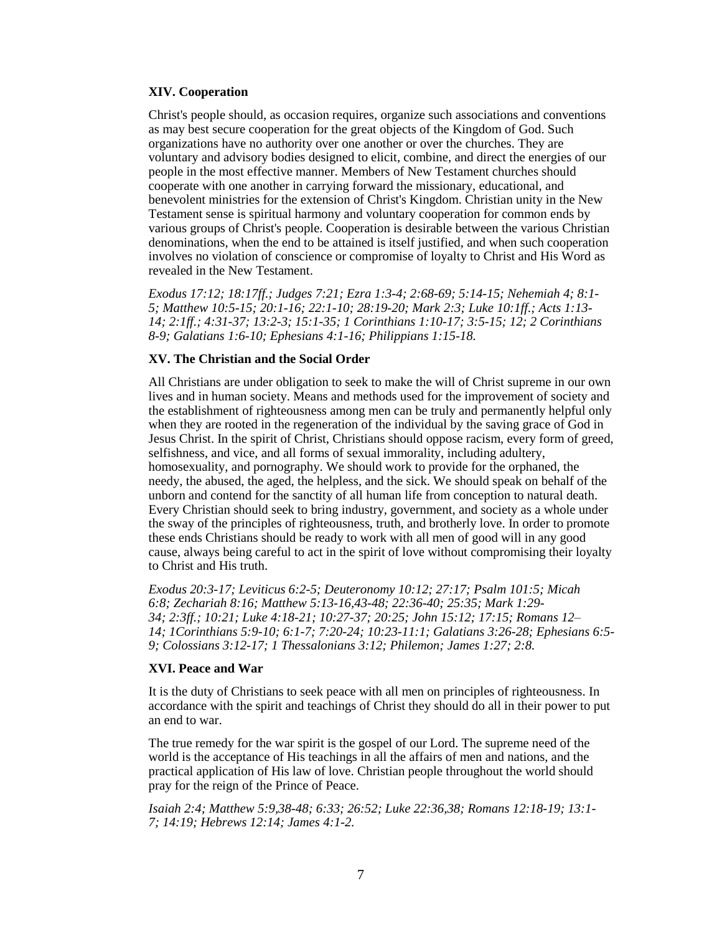#### **XIV. Cooperation**

Christ's people should, as occasion requires, organize such associations and conventions as may best secure cooperation for the great objects of the Kingdom of God. Such organizations have no authority over one another or over the churches. They are voluntary and advisory bodies designed to elicit, combine, and direct the energies of our people in the most effective manner. Members of New Testament churches should cooperate with one another in carrying forward the missionary, educational, and benevolent ministries for the extension of Christ's Kingdom. Christian unity in the New Testament sense is spiritual harmony and voluntary cooperation for common ends by various groups of Christ's people. Cooperation is desirable between the various Christian denominations, when the end to be attained is itself justified, and when such cooperation involves no violation of conscience or compromise of loyalty to Christ and His Word as revealed in the New Testament.

*[Exodus 17:12;](http://biblia.com/bible/hcsb/Exodus%2017.12) [18:17ff.](http://biblia.com/bible/hcsb/Exodus%2018.17ff); [Judges 7:21;](http://biblia.com/bible/hcsb/Judges%207.21) [Ezra 1:3-4;](http://biblia.com/bible/hcsb/Ezra%201.3-4) [2:68-69;](http://biblia.com/bible/hcsb/Ezra%202.68-69) [5:14-15;](http://biblia.com/bible/hcsb/Ezra%205.14-15) Nehemiah 4; 8:1- 5; [Matthew 10:5-15;](http://biblia.com/bible/hcsb/Matthew%2010.5-15) [20:1-16;](http://biblia.com/bible/hcsb/Matthew%2020.1-16) [22:1-10;](http://biblia.com/bible/hcsb/Matthew%2022.1-10) [28:19-20;](http://biblia.com/bible/hcsb/Matthew%2028.19-20) [Mark 2:3;](http://biblia.com/bible/hcsb/Mark%202.3) [Luke 10:1ff.](http://biblia.com/bible/hcsb/Luke%2010.1ff); [Acts 1:13-](http://biblia.com/bible/hcsb/Acts%201.13-14) [14;](http://biblia.com/bible/hcsb/Acts%201.13-14) [2:1ff.](http://biblia.com/bible/hcsb/Acts%202.1ff); [4:31-37;](http://biblia.com/bible/hcsb/Acts%204.31-37) [13:2-3;](http://biblia.com/bible/hcsb/Acts%2013.2-3) [15:1-35;](http://biblia.com/bible/hcsb/Acts%2015.1-35) [1 Corinthians 1:10-17;](http://biblia.com/bible/hcsb/1%20Corinthians%201.10-17) [3:5-15;](http://biblia.com/bible/hcsb/1%20Corinthians%203.5-15) [12;](http://biblia.com/bible/hcsb/1%20Corinthians%203.12) 2 Corinthians 8-9; [Galatians 1:6-10;](http://biblia.com/bible/hcsb/Galatians%201.6-10) [Ephesians 4:1-16;](http://biblia.com/bible/hcsb/Ephesians%204.1-16) [Philippians 1:15-18.](http://biblia.com/bible/hcsb/Philippians%201.15-18)*

#### **XV. The Christian and the Social Order**

All Christians are under obligation to seek to make the will of Christ supreme in our own lives and in human society. Means and methods used for the improvement of society and the establishment of righteousness among men can be truly and permanently helpful only when they are rooted in the regeneration of the individual by the saving grace of God in Jesus Christ. In the spirit of Christ, Christians should oppose racism, every form of greed, selfishness, and vice, and all forms of sexual immorality, including adultery, homosexuality, and pornography. We should work to provide for the orphaned, the needy, the abused, the aged, the helpless, and the sick. We should speak on behalf of the unborn and contend for the sanctity of all human life from conception to natural death. Every Christian should seek to bring industry, government, and society as a whole under the sway of the principles of righteousness, truth, and brotherly love. In order to promote these ends Christians should be ready to work with all men of good will in any good cause, always being careful to act in the spirit of love without compromising their loyalty to Christ and His truth.

*[Exodus 20:3-17;](http://biblia.com/bible/hcsb/Exodus%2020.3-17) [Leviticus 6:2-5;](http://biblia.com/bible/hcsb/Leviticus%206.2-5) [Deuteronomy 10:12;](http://biblia.com/bible/hcsb/Deuteronomy%2010.12) [27:17;](http://biblia.com/bible/hcsb/Deuteronomy%2027.17) [Psalm 101:5;](http://biblia.com/bible/hcsb/Psalm%20101.5) [Micah](http://biblia.com/bible/hcsb/Micah%206.8)  [6:8;](http://biblia.com/bible/hcsb/Micah%206.8) [Zechariah 8:16;](http://biblia.com/bible/hcsb/Zechariah%208.16) [Matthew 5:13-16](http://biblia.com/bible/hcsb/Matthew%205.13-16)[,43-48;](http://biblia.com/bible/hcsb/Matthew%205.43-48) [22:36-40;](http://biblia.com/bible/hcsb/Matthew%2022.36-40) [25:35;](http://biblia.com/bible/hcsb/Matthew%2025.35) [Mark 1:29-](http://biblia.com/bible/hcsb/Mark%201.29-34) [34;](http://biblia.com/bible/hcsb/Mark%201.29-34) [2:3ff.](http://biblia.com/bible/hcsb/Mark%202.3ff); [10:21;](http://biblia.com/bible/hcsb/Mark%2010.21) [Luke 4:18-21;](http://biblia.com/bible/hcsb/Luke%204.18-21) [10:27-37;](http://biblia.com/bible/hcsb/Luke%2010.27-37) [20:25;](http://biblia.com/bible/hcsb/Luke%2020.25) [John 15:12;](http://biblia.com/bible/hcsb/John%2015.12) [17:15;](http://biblia.com/bible/hcsb/John%2017.15) Romans 12– 14; [1Corinthians 5:9-10;](http://biblia.com/bible/hcsb/1Corinthians%205.9-10) [6:1-7;](http://biblia.com/bible/hcsb/1Corinthians%206.1-7) [7:20-24;](http://biblia.com/bible/hcsb/1Corinthians%207.20-24) [10:23-11:1;](http://biblia.com/bible/hcsb/1Corinthians%2010.23-11.1) [Galatians 3:26-28;](http://biblia.com/bible/hcsb/Galatians%203.26-28) [Ephesians 6:5-](http://biblia.com/bible/hcsb/Ephesians%206.5-9) [9;](http://biblia.com/bible/hcsb/Ephesians%206.5-9) [Colossians 3:12-17;](http://biblia.com/bible/hcsb/Colossians%203.12-17) [1 Thessalonians 3:12;](http://biblia.com/bible/hcsb/1%20Thessalonians%203.12) Philemon; [James 1:27;](http://biblia.com/bible/hcsb/James%201.27) [2:8.](http://biblia.com/bible/hcsb/James%202.8)*

#### **XVI. Peace and War**

It is the duty of Christians to seek peace with all men on principles of righteousness. In accordance with the spirit and teachings of Christ they should do all in their power to put an end to war.

The true remedy for the war spirit is the gospel of our Lord. The supreme need of the world is the acceptance of His teachings in all the affairs of men and nations, and the practical application of His law of love. Christian people throughout the world should pray for the reign of the Prince of Peace.

*[Isaiah 2:4;](http://biblia.com/bible/hcsb/Isaiah%202.4) [Matthew 5:9](http://biblia.com/bible/hcsb/Matthew%205.9)[,38-48;](http://biblia.com/bible/hcsb/Matthew%205.38-48) [6:33;](http://biblia.com/bible/hcsb/Matthew%206.33) [26:52;](http://biblia.com/bible/hcsb/Matthew%2026.52) [Luke 22:36](http://biblia.com/bible/hcsb/Luke%2022.36)[,38;](http://biblia.com/bible/hcsb/Luke%2022.38) [Romans 12:18-19;](http://biblia.com/bible/hcsb/Romans%2012.18-19) [13:1-](http://biblia.com/bible/hcsb/Romans%2013.1-7) [7;](http://biblia.com/bible/hcsb/Romans%2013.1-7) [14:19;](http://biblia.com/bible/hcsb/Romans%2014.19) [Hebrews 12:14;](http://biblia.com/bible/hcsb/Hebrews%2012.14) [James 4:1-2.](http://biblia.com/bible/hcsb/James%204.1-2)*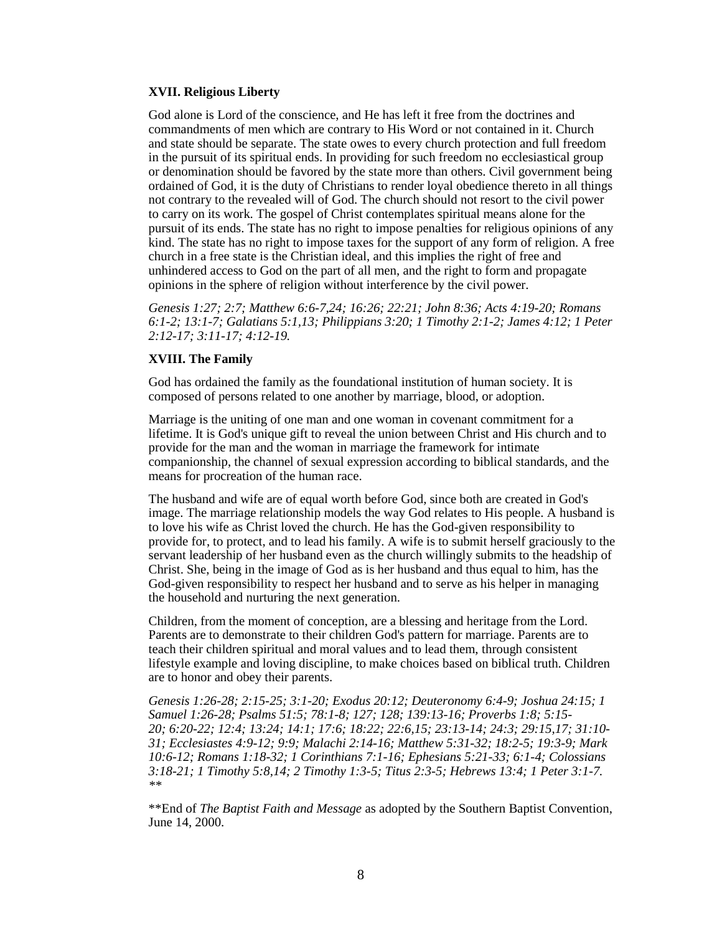#### **XVII. Religious Liberty**

God alone is Lord of the conscience, and He has left it free from the doctrines and commandments of men which are contrary to His Word or not contained in it. Church and state should be separate. The state owes to every church protection and full freedom in the pursuit of its spiritual ends. In providing for such freedom no ecclesiastical group or denomination should be favored by the state more than others. Civil government being ordained of God, it is the duty of Christians to render loyal obedience thereto in all things not contrary to the revealed will of God. The church should not resort to the civil power to carry on its work. The gospel of Christ contemplates spiritual means alone for the pursuit of its ends. The state has no right to impose penalties for religious opinions of any kind. The state has no right to impose taxes for the support of any form of religion. A free church in a free state is the Christian ideal, and this implies the right of free and unhindered access to God on the part of all men, and the right to form and propagate opinions in the sphere of religion without interference by the civil power.

*[Genesis 1:27;](http://biblia.com/bible/hcsb/Genesis%201.27) [2:7;](http://biblia.com/bible/hcsb/Genesis%202.7) [Matthew 6:6-7,](http://biblia.com/bible/hcsb/Matthew%206.6-7)[24;](http://biblia.com/bible/hcsb/Matthew%206.24) [16:26;](http://biblia.com/bible/hcsb/Matthew%2016.26) [22:21;](http://biblia.com/bible/hcsb/Matthew%2022.21) [John 8:36;](http://biblia.com/bible/hcsb/John%208.36) [Acts 4:19-20;](http://biblia.com/bible/hcsb/Acts%204.19-20) [Romans](http://biblia.com/bible/hcsb/Romans%206.1-2)  [6:1-2;](http://biblia.com/bible/hcsb/Romans%206.1-2) [13:1-7;](http://biblia.com/bible/hcsb/Romans%2013.1-7) [Galatians 5:1](http://biblia.com/bible/hcsb/Galatians%205.1)[,13;](http://biblia.com/bible/hcsb/Galatians%205.13) [Philippians 3:20;](http://biblia.com/bible/hcsb/Philippians%203.20) [1 Timothy 2:1-2;](http://biblia.com/bible/hcsb/1%20Timothy%202.1-2) [James 4:12;](http://biblia.com/bible/hcsb/James%204.12) [1 Peter](http://biblia.com/bible/hcsb/1%20Peter%202.12-17)  [2:12-17;](http://biblia.com/bible/hcsb/1%20Peter%202.12-17) [3:11-17;](http://biblia.com/bible/hcsb/1%20Peter%203.11-17) [4:12-19.](http://biblia.com/bible/hcsb/1%20Peter%204.12-19)*

#### **XVIII. The Family**

God has ordained the family as the foundational institution of human society. It is composed of persons related to one another by marriage, blood, or adoption.

Marriage is the uniting of one man and one woman in covenant commitment for a lifetime. It is God's unique gift to reveal the union between Christ and His church and to provide for the man and the woman in marriage the framework for intimate companionship, the channel of sexual expression according to biblical standards, and the means for procreation of the human race.

The husband and wife are of equal worth before God, since both are created in God's image. The marriage relationship models the way God relates to His people. A husband is to love his wife as Christ loved the church. He has the God-given responsibility to provide for, to protect, and to lead his family. A wife is to submit herself graciously to the servant leadership of her husband even as the church willingly submits to the headship of Christ. She, being in the image of God as is her husband and thus equal to him, has the God-given responsibility to respect her husband and to serve as his helper in managing the household and nurturing the next generation.

Children, from the moment of conception, are a blessing and heritage from the Lord. Parents are to demonstrate to their children God's pattern for marriage. Parents are to teach their children spiritual and moral values and to lead them, through consistent lifestyle example and loving discipline, to make choices based on biblical truth. Children are to honor and obey their parents.

*[Genesis 1:26-28;](http://biblia.com/bible/hcsb/Genesis%201.26-28) [2:15-25;](http://biblia.com/bible/hcsb/Genesis%202.15-25) [3:1-20;](http://biblia.com/bible/hcsb/Genesis%203.1-20) [Exodus 20:12;](http://biblia.com/bible/hcsb/Exodus%2020.12) [Deuteronomy 6:4-9;](http://biblia.com/bible/hcsb/Deuteronomy%206.4-9) [Joshua 24:15;](http://biblia.com/bible/hcsb/Joshua%2024.15) [1](http://biblia.com/bible/hcsb/1%20Samuel%201.26-28)  [Samuel 1:26-28;](http://biblia.com/bible/hcsb/1%20Samuel%201.26-28) [Psalms 51:5;](http://biblia.com/bible/hcsb/Psalms%2051.5) [78:1-8;](http://biblia.com/bible/hcsb/Psalms%2078.1-8) [127;](http://biblia.com/bible/hcsb/Psalms%2078.127) [128;](http://biblia.com/bible/hcsb/Psalms%2078.128) [139:13-16;](http://biblia.com/bible/hcsb/Psalms%20139.13-16) [Proverbs 1:8;](http://biblia.com/bible/hcsb/Proverbs%201.8) [5:15-](http://biblia.com/bible/hcsb/Proverbs%205.15-20) [20;](http://biblia.com/bible/hcsb/Proverbs%205.15-20) [6:20-22;](http://biblia.com/bible/hcsb/Proverbs%206.20-22) [12:4;](http://biblia.com/bible/hcsb/Proverbs%2012.4) [13:24;](http://biblia.com/bible/hcsb/Proverbs%2013.24) [14:1;](http://biblia.com/bible/hcsb/Proverbs%2014.1) [17:6;](http://biblia.com/bible/hcsb/Proverbs%2017.6) [18:22;](http://biblia.com/bible/hcsb/Proverbs%2018.22) [22:6](http://biblia.com/bible/hcsb/Proverbs%2022.6)[,15;](http://biblia.com/bible/hcsb/Proverbs%2022.15) [23:13-14;](http://biblia.com/bible/hcsb/Proverbs%2023.13-14) [24:3;](http://biblia.com/bible/hcsb/Proverbs%2024.3) [29:15](http://biblia.com/bible/hcsb/Proverbs%2029.15)[,17;](http://biblia.com/bible/hcsb/Proverbs%2029.17) [31:10-](http://biblia.com/bible/hcsb/Proverbs%2031.10-31) [31;](http://biblia.com/bible/hcsb/Proverbs%2031.10-31) [Ecclesiastes 4:9-12;](http://biblia.com/bible/hcsb/Ecclesiastes%204.9-12) [9:9;](http://biblia.com/bible/hcsb/Ecclesiastes%209.9) [Malachi 2:14-16;](http://biblia.com/bible/hcsb/Malachi%202.14-16) [Matthew 5:31-32;](http://biblia.com/bible/hcsb/Matthew%205.31-32) [18:2-5;](http://biblia.com/bible/hcsb/Matthew%2018.2-5) [19:3-9;](http://biblia.com/bible/hcsb/Matthew%2019.3-9) [Mark](http://biblia.com/bible/hcsb/Mark%2010.6-12)  [10:6-12;](http://biblia.com/bible/hcsb/Mark%2010.6-12) [Romans 1:18-32;](http://biblia.com/bible/hcsb/Romans%201.18-32) [1 Corinthians 7:1-16;](http://biblia.com/bible/hcsb/1%20Corinthians%207.1-16) [Ephesians 5:21-33;](http://biblia.com/bible/hcsb/Ephesians%205.21-33) [6:1-4;](http://biblia.com/bible/hcsb/Ephesians%206.1-4) [Colossians](http://biblia.com/bible/hcsb/Colossians%203.18-21)  [3:18-21;](http://biblia.com/bible/hcsb/Colossians%203.18-21) [1 Timothy 5:8](http://biblia.com/bible/hcsb/1%20Timothy%205.8)[,14;](http://biblia.com/bible/hcsb/1%20Timothy%205.14) [2 Timothy 1:3-5;](http://biblia.com/bible/hcsb/2%20Timothy%201.3-5) [Titus 2:3-5;](http://biblia.com/bible/hcsb/Titus%202.3-5) [Hebrews 13:4;](http://biblia.com/bible/hcsb/Hebrews%2013.4) [1 Peter 3:1-7.](http://biblia.com/bible/hcsb/1%20Peter%203.1-7) \*\**

\*\*End of *The Baptist Faith and Message* as adopted by the Southern Baptist Convention, June 14, 2000.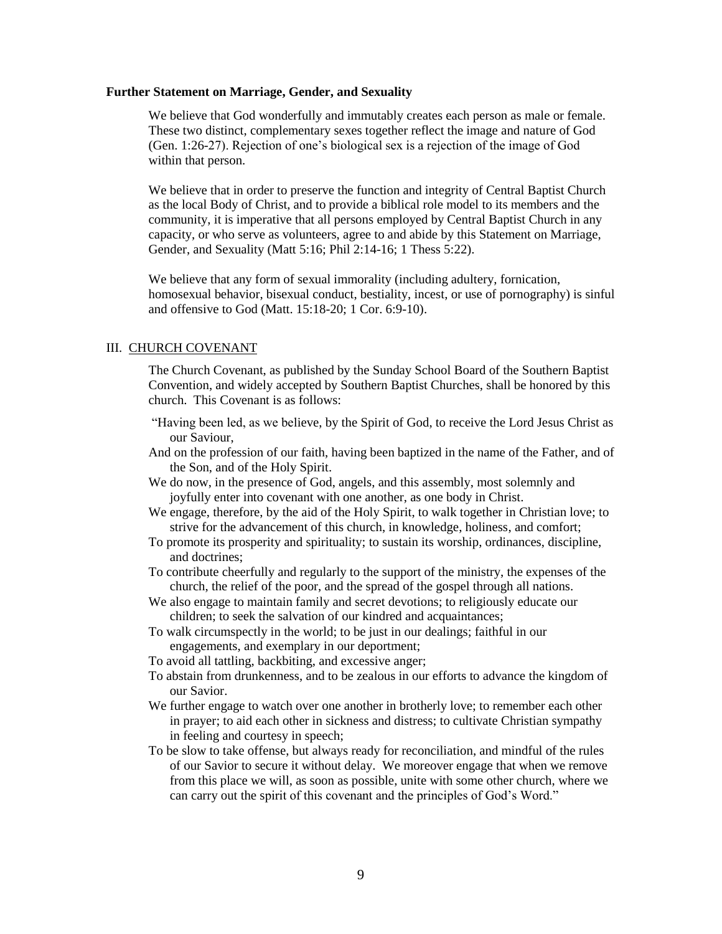#### **Further Statement on Marriage, Gender, and Sexuality**

We believe that God wonderfully and immutably creates each person as male or female. These two distinct, complementary sexes together reflect the image and nature of God (Gen. 1:26-27). Rejection of one's biological sex is a rejection of the image of God within that person.

We believe that in order to preserve the function and integrity of Central Baptist Church as the local Body of Christ, and to provide a biblical role model to its members and the community, it is imperative that all persons employed by Central Baptist Church in any capacity, or who serve as volunteers, agree to and abide by this Statement on Marriage, Gender, and Sexuality (Matt 5:16; Phil 2:14-16; 1 Thess 5:22).

We believe that any form of sexual immorality (including adultery, fornication, homosexual behavior, bisexual conduct, bestiality, incest, or use of pornography) is sinful and offensive to God (Matt. 15:18-20; 1 Cor. 6:9-10).

#### III. CHURCH COVENANT

The Church Covenant, as published by the Sunday School Board of the Southern Baptist Convention, and widely accepted by Southern Baptist Churches, shall be honored by this church. This Covenant is as follows:

- "Having been led, as we believe, by the Spirit of God, to receive the Lord Jesus Christ as our Saviour,
- And on the profession of our faith, having been baptized in the name of the Father, and of the Son, and of the Holy Spirit.
- We do now, in the presence of God, angels, and this assembly, most solemnly and joyfully enter into covenant with one another, as one body in Christ.
- We engage, therefore, by the aid of the Holy Spirit, to walk together in Christian love; to strive for the advancement of this church, in knowledge, holiness, and comfort;
- To promote its prosperity and spirituality; to sustain its worship, ordinances, discipline, and doctrines;
- To contribute cheerfully and regularly to the support of the ministry, the expenses of the church, the relief of the poor, and the spread of the gospel through all nations.
- We also engage to maintain family and secret devotions; to religiously educate our children; to seek the salvation of our kindred and acquaintances;
- To walk circumspectly in the world; to be just in our dealings; faithful in our engagements, and exemplary in our deportment;
- To avoid all tattling, backbiting, and excessive anger;
- To abstain from drunkenness, and to be zealous in our efforts to advance the kingdom of our Savior.
- We further engage to watch over one another in brotherly love; to remember each other in prayer; to aid each other in sickness and distress; to cultivate Christian sympathy in feeling and courtesy in speech;
- To be slow to take offense, but always ready for reconciliation, and mindful of the rules of our Savior to secure it without delay. We moreover engage that when we remove from this place we will, as soon as possible, unite with some other church, where we can carry out the spirit of this covenant and the principles of God's Word."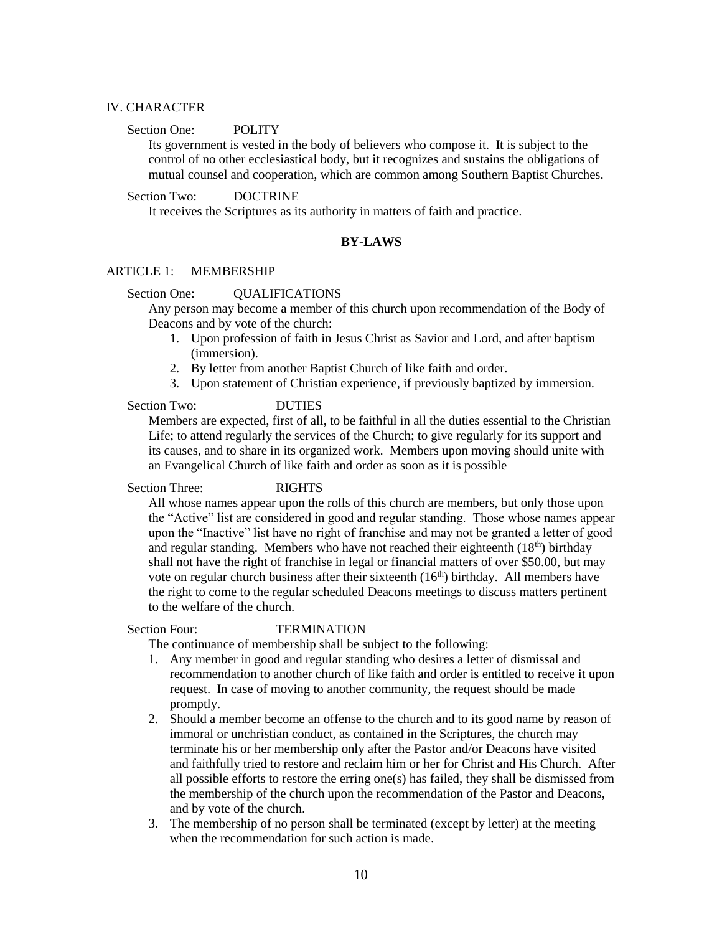## IV. CHARACTER

## Section One: POLITY

Its government is vested in the body of believers who compose it. It is subject to the control of no other ecclesiastical body, but it recognizes and sustains the obligations of mutual counsel and cooperation, which are common among Southern Baptist Churches.

## Section Two: DOCTRINE

It receives the Scriptures as its authority in matters of faith and practice.

## **BY-LAWS**

## ARTICLE 1: MEMBERSHIP

#### Section One: OUALIFICATIONS

Any person may become a member of this church upon recommendation of the Body of Deacons and by vote of the church:

- 1. Upon profession of faith in Jesus Christ as Savior and Lord, and after baptism (immersion).
- 2. By letter from another Baptist Church of like faith and order.
- 3. Upon statement of Christian experience, if previously baptized by immersion.

## Section Two: DUTIES

Members are expected, first of all, to be faithful in all the duties essential to the Christian Life; to attend regularly the services of the Church; to give regularly for its support and its causes, and to share in its organized work. Members upon moving should unite with an Evangelical Church of like faith and order as soon as it is possible

#### Section Three: RIGHTS

All whose names appear upon the rolls of this church are members, but only those upon the "Active" list are considered in good and regular standing. Those whose names appear upon the "Inactive" list have no right of franchise and may not be granted a letter of good and regular standing. Members who have not reached their eighteenth  $(18<sup>th</sup>)$  birthday shall not have the right of franchise in legal or financial matters of over \$50.00, but may vote on regular church business after their sixteenth (16<sup>th</sup>) birthday. All members have the right to come to the regular scheduled Deacons meetings to discuss matters pertinent to the welfare of the church.

#### Section Four: TERMINATION

The continuance of membership shall be subject to the following:

- 1. Any member in good and regular standing who desires a letter of dismissal and recommendation to another church of like faith and order is entitled to receive it upon request. In case of moving to another community, the request should be made promptly.
- 2. Should a member become an offense to the church and to its good name by reason of immoral or unchristian conduct, as contained in the Scriptures, the church may terminate his or her membership only after the Pastor and/or Deacons have visited and faithfully tried to restore and reclaim him or her for Christ and His Church. After all possible efforts to restore the erring one(s) has failed, they shall be dismissed from the membership of the church upon the recommendation of the Pastor and Deacons, and by vote of the church.
- 3. The membership of no person shall be terminated (except by letter) at the meeting when the recommendation for such action is made.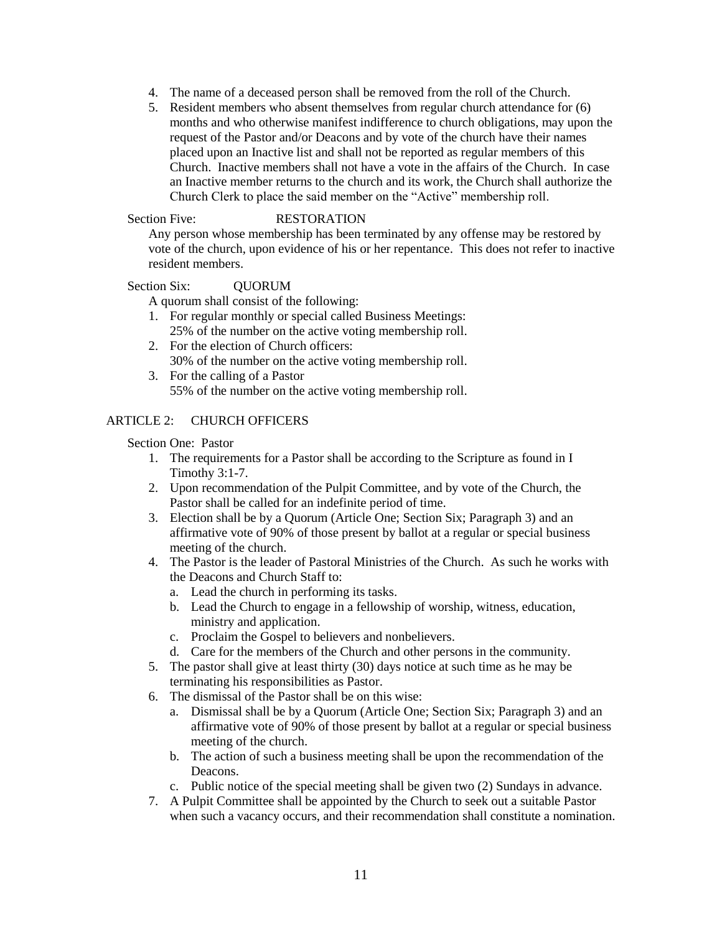- 4. The name of a deceased person shall be removed from the roll of the Church.
- 5. Resident members who absent themselves from regular church attendance for (6) months and who otherwise manifest indifference to church obligations, may upon the request of the Pastor and/or Deacons and by vote of the church have their names placed upon an Inactive list and shall not be reported as regular members of this Church. Inactive members shall not have a vote in the affairs of the Church. In case an Inactive member returns to the church and its work, the Church shall authorize the Church Clerk to place the said member on the "Active" membership roll.

## Section Five: RESTORATION

Any person whose membership has been terminated by any offense may be restored by vote of the church, upon evidence of his or her repentance. This does not refer to inactive resident members.

## Section Six: **QUORUM**

A quorum shall consist of the following:

- 1. For regular monthly or special called Business Meetings: 25% of the number on the active voting membership roll.
- 2. For the election of Church officers: 30% of the number on the active voting membership roll.
- 3. For the calling of a Pastor 55% of the number on the active voting membership roll.

## ARTICLE 2: CHURCH OFFICERS

## Section One: Pastor

- 1. The requirements for a Pastor shall be according to the Scripture as found in I Timothy 3:1-7.
- 2. Upon recommendation of the Pulpit Committee, and by vote of the Church, the Pastor shall be called for an indefinite period of time.
- 3. Election shall be by a Quorum (Article One; Section Six; Paragraph 3) and an affirmative vote of 90% of those present by ballot at a regular or special business meeting of the church.
- 4. The Pastor is the leader of Pastoral Ministries of the Church. As such he works with the Deacons and Church Staff to:
	- a. Lead the church in performing its tasks.
	- b. Lead the Church to engage in a fellowship of worship, witness, education, ministry and application.
	- c. Proclaim the Gospel to believers and nonbelievers.
	- d. Care for the members of the Church and other persons in the community.
- 5. The pastor shall give at least thirty (30) days notice at such time as he may be terminating his responsibilities as Pastor.
- 6. The dismissal of the Pastor shall be on this wise:
	- a. Dismissal shall be by a Quorum (Article One; Section Six; Paragraph 3) and an affirmative vote of 90% of those present by ballot at a regular or special business meeting of the church.
	- b. The action of such a business meeting shall be upon the recommendation of the Deacons.
	- c. Public notice of the special meeting shall be given two (2) Sundays in advance.
- 7. A Pulpit Committee shall be appointed by the Church to seek out a suitable Pastor when such a vacancy occurs, and their recommendation shall constitute a nomination.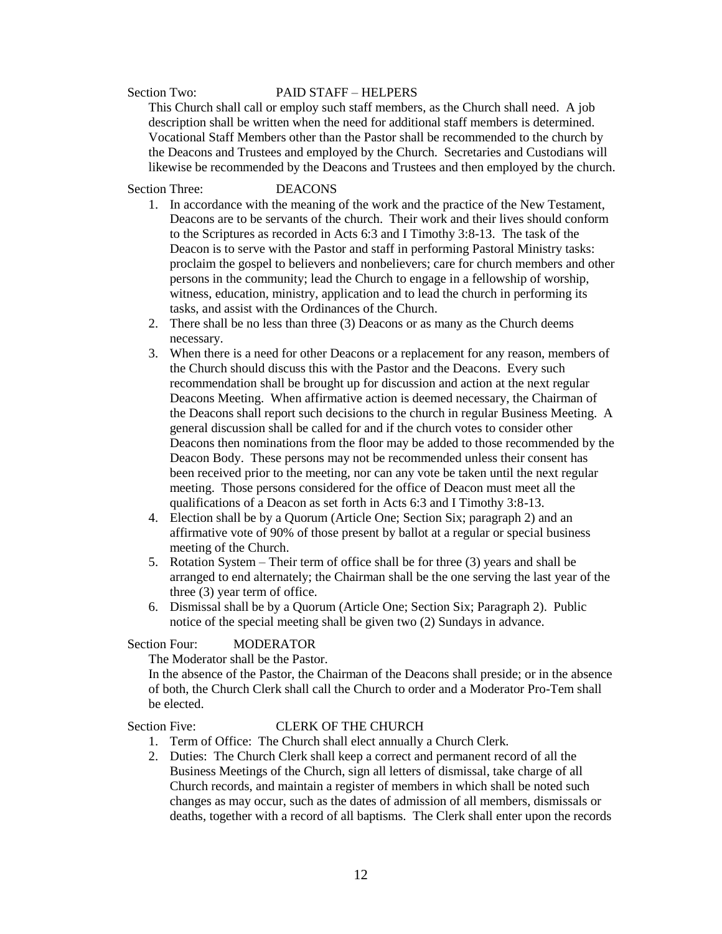#### Section Two: PAID STAFF – HELPERS

This Church shall call or employ such staff members, as the Church shall need. A job description shall be written when the need for additional staff members is determined. Vocational Staff Members other than the Pastor shall be recommended to the church by the Deacons and Trustees and employed by the Church. Secretaries and Custodians will likewise be recommended by the Deacons and Trustees and then employed by the church.

Section Three: DEACONS

- 1. In accordance with the meaning of the work and the practice of the New Testament, Deacons are to be servants of the church. Their work and their lives should conform to the Scriptures as recorded in Acts 6:3 and I Timothy 3:8-13. The task of the Deacon is to serve with the Pastor and staff in performing Pastoral Ministry tasks: proclaim the gospel to believers and nonbelievers; care for church members and other persons in the community; lead the Church to engage in a fellowship of worship, witness, education, ministry, application and to lead the church in performing its tasks, and assist with the Ordinances of the Church.
- 2. There shall be no less than three (3) Deacons or as many as the Church deems necessary.
- 3. When there is a need for other Deacons or a replacement for any reason, members of the Church should discuss this with the Pastor and the Deacons. Every such recommendation shall be brought up for discussion and action at the next regular Deacons Meeting. When affirmative action is deemed necessary, the Chairman of the Deacons shall report such decisions to the church in regular Business Meeting. A general discussion shall be called for and if the church votes to consider other Deacons then nominations from the floor may be added to those recommended by the Deacon Body. These persons may not be recommended unless their consent has been received prior to the meeting, nor can any vote be taken until the next regular meeting. Those persons considered for the office of Deacon must meet all the qualifications of a Deacon as set forth in Acts 6:3 and I Timothy 3:8-13.
- 4. Election shall be by a Quorum (Article One; Section Six; paragraph 2) and an affirmative vote of 90% of those present by ballot at a regular or special business meeting of the Church.
- 5. Rotation System Their term of office shall be for three (3) years and shall be arranged to end alternately; the Chairman shall be the one serving the last year of the three (3) year term of office.
- 6. Dismissal shall be by a Quorum (Article One; Section Six; Paragraph 2). Public notice of the special meeting shall be given two (2) Sundays in advance.

Section Four: MODERATOR

The Moderator shall be the Pastor.

In the absence of the Pastor, the Chairman of the Deacons shall preside; or in the absence of both, the Church Clerk shall call the Church to order and a Moderator Pro-Tem shall be elected.

## Section Five: CLERK OF THE CHURCH

- 1. Term of Office: The Church shall elect annually a Church Clerk.
- 2. Duties: The Church Clerk shall keep a correct and permanent record of all the Business Meetings of the Church, sign all letters of dismissal, take charge of all Church records, and maintain a register of members in which shall be noted such changes as may occur, such as the dates of admission of all members, dismissals or deaths, together with a record of all baptisms. The Clerk shall enter upon the records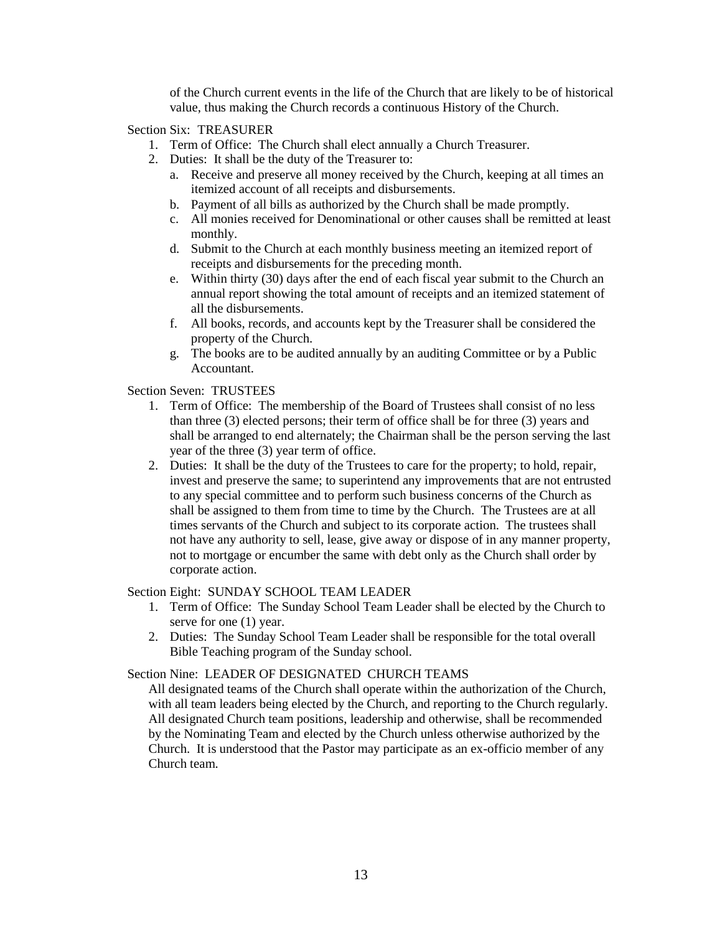of the Church current events in the life of the Church that are likely to be of historical value, thus making the Church records a continuous History of the Church.

Section Six: TREASURER

- 1. Term of Office: The Church shall elect annually a Church Treasurer.
- 2. Duties: It shall be the duty of the Treasurer to:
	- a. Receive and preserve all money received by the Church, keeping at all times an itemized account of all receipts and disbursements.
	- b. Payment of all bills as authorized by the Church shall be made promptly.
	- c. All monies received for Denominational or other causes shall be remitted at least monthly.
	- d. Submit to the Church at each monthly business meeting an itemized report of receipts and disbursements for the preceding month.
	- e. Within thirty (30) days after the end of each fiscal year submit to the Church an annual report showing the total amount of receipts and an itemized statement of all the disbursements.
	- f. All books, records, and accounts kept by the Treasurer shall be considered the property of the Church.
	- g. The books are to be audited annually by an auditing Committee or by a Public Accountant.

Section Seven: TRUSTEES

- 1. Term of Office: The membership of the Board of Trustees shall consist of no less than three (3) elected persons; their term of office shall be for three (3) years and shall be arranged to end alternately; the Chairman shall be the person serving the last year of the three (3) year term of office.
- 2. Duties: It shall be the duty of the Trustees to care for the property; to hold, repair, invest and preserve the same; to superintend any improvements that are not entrusted to any special committee and to perform such business concerns of the Church as shall be assigned to them from time to time by the Church. The Trustees are at all times servants of the Church and subject to its corporate action. The trustees shall not have any authority to sell, lease, give away or dispose of in any manner property, not to mortgage or encumber the same with debt only as the Church shall order by corporate action.

## Section Eight: SUNDAY SCHOOL TEAM LEADER

- 1. Term of Office: The Sunday School Team Leader shall be elected by the Church to serve for one (1) year.
- 2. Duties: The Sunday School Team Leader shall be responsible for the total overall Bible Teaching program of the Sunday school.

# Section Nine: LEADER OF DESIGNATED CHURCH TEAMS

All designated teams of the Church shall operate within the authorization of the Church, with all team leaders being elected by the Church, and reporting to the Church regularly. All designated Church team positions, leadership and otherwise, shall be recommended by the Nominating Team and elected by the Church unless otherwise authorized by the Church. It is understood that the Pastor may participate as an ex-officio member of any Church team.